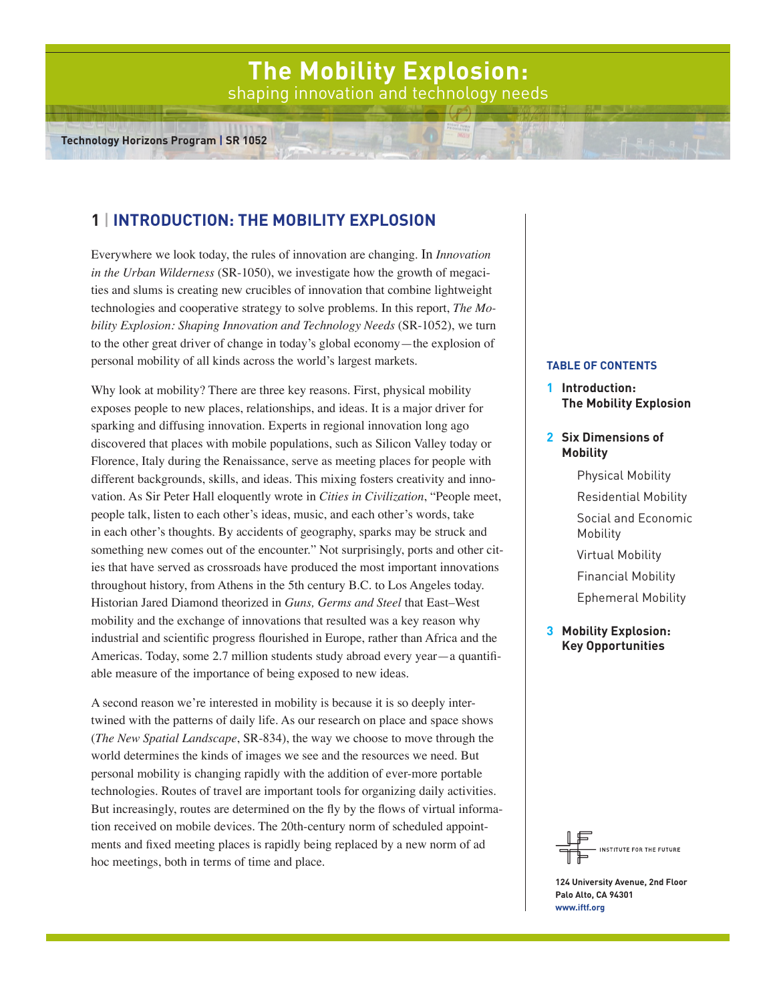# **The Mobility Explosion:**  shaping innovation and technology needs

# **1** | **Introduction: The Mobility Explosion**

Everywhere we look today, the rules of innovation are changing. In *Innovation in the Urban Wilderness* (SR-1050), we investigate how the growth of megacities and slums is creating new crucibles of innovation that combine lightweight technologies and cooperative strategy to solve problems. In this report, *The Mobility Explosion: Shaping Innovation and Technology Needs* (SR-1052), we turn to the other great driver of change in today's global economy—the explosion of personal mobility of all kinds across the world's largest markets.

Why look at mobility? There are three key reasons. First, physical mobility exposes people to new places, relationships, and ideas. It is a major driver for sparking and diffusing innovation. Experts in regional innovation long ago discovered that places with mobile populations, such as Silicon Valley today or Florence, Italy during the Renaissance, serve as meeting places for people with different backgrounds, skills, and ideas. This mixing fosters creativity and innovation. As Sir Peter Hall eloquently wrote in *Cities in Civilization*, "People meet, people talk, listen to each other's ideas, music, and each other's words, take in each other's thoughts. By accidents of geography, sparks may be struck and something new comes out of the encounter." Not surprisingly, ports and other cities that have served as crossroads have produced the most important innovations throughout history, from Athens in the 5th century B.C. to Los Angeles today. Historian Jared Diamond theorized in *Guns, Germs and Steel* that East–West mobility and the exchange of innovations that resulted was a key reason why industrial and scientific progress flourished in Europe, rather than Africa and the Americas. Today, some 2.7 million students study abroad every year—a quantifiable measure of the importance of being exposed to new ideas.

A second reason we're interested in mobility is because it is so deeply intertwined with the patterns of daily life. As our research on place and space shows (*The New Spatial Landscape*, SR-834), the way we choose to move through the world determines the kinds of images we see and the resources we need. But personal mobility is changing rapidly with the addition of ever-more portable technologies. Routes of travel are important tools for organizing daily activities. But increasingly, routes are determined on the fly by the flows of virtual information received on mobile devices. The 20th-century norm of scheduled appointments and fixed meeting places is rapidly being replaced by a new norm of ad hoc meetings, both in terms of time and place.

# **Table of Contents**

**1 Introduction: The Mobility Explosion**

# **2 Six Dimensions of Mobility**

- Physical Mobility
- Residential Mobility

Social and Economic Mobility

- Virtual Mobility
- Financial Mobility

Ephemeral Mobility

**3 Mobility Explosion: Key Opportunities**



**124 University Avenue, 2nd Floor Palo Alto, CA 94301 www.iftf.org**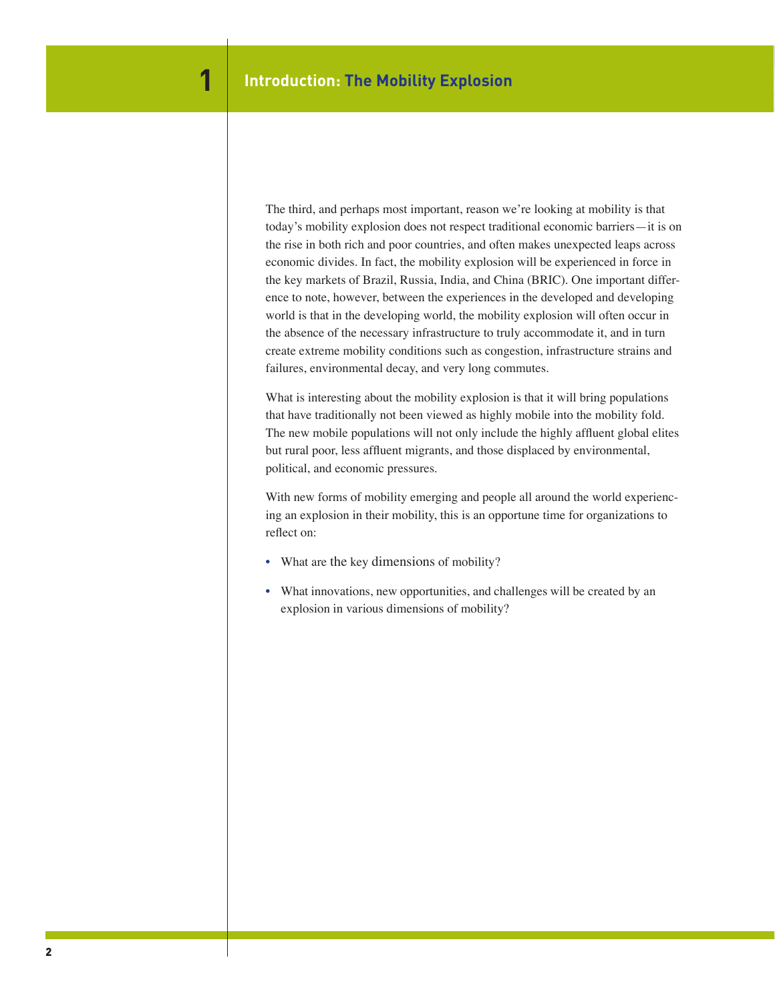The third, and perhaps most important, reason we're looking at mobility is that today's mobility explosion does not respect traditional economic barriers—it is on the rise in both rich and poor countries, and often makes unexpected leaps across economic divides. In fact, the mobility explosion will be experienced in force in the key markets of Brazil, Russia, India, and China (BRIC). One important difference to note, however, between the experiences in the developed and developing world is that in the developing world, the mobility explosion will often occur in the absence of the necessary infrastructure to truly accommodate it, and in turn create extreme mobility conditions such as congestion, infrastructure strains and failures, environmental decay, and very long commutes.

What is interesting about the mobility explosion is that it will bring populations that have traditionally not been viewed as highly mobile into the mobility fold. The new mobile populations will not only include the highly affluent global elites but rural poor, less affluent migrants, and those displaced by environmental, political, and economic pressures.

With new forms of mobility emerging and people all around the world experiencing an explosion in their mobility, this is an opportune time for organizations to reflect on:

- What are the key dimensions of mobility?
- What innovations, new opportunities, and challenges will be created by an explosion in various dimensions of mobility?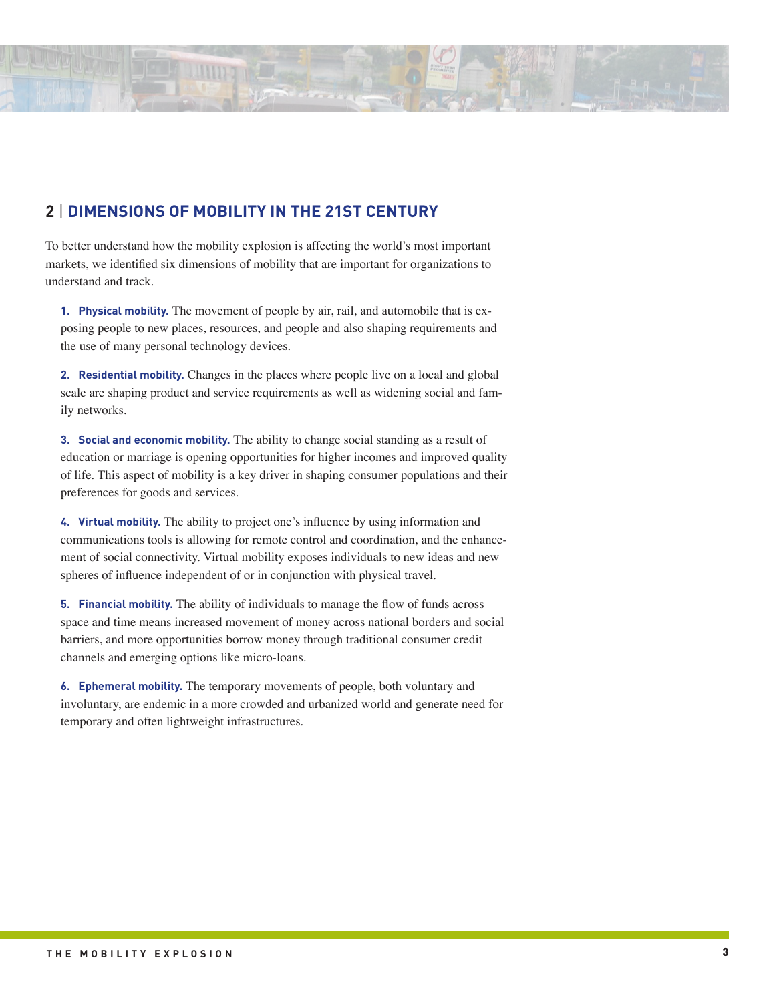# **2** | **Dimensions of Mobility in the 21st Century**

**LUIDE NE** 

To better understand how the mobility explosion is affecting the world's most important markets, we identified six dimensions of mobility that are important for organizations to understand and track.

**1. Physical mobility.** The movement of people by air, rail, and automobile that is exposing people to new places, resources, and people and also shaping requirements and the use of many personal technology devices.

**2. Residential mobility.** Changes in the places where people live on a local and global scale are shaping product and service requirements as well as widening social and family networks.

**3. Social and economic mobility.** The ability to change social standing as a result of education or marriage is opening opportunities for higher incomes and improved quality of life. This aspect of mobility is a key driver in shaping consumer populations and their preferences for goods and services.

**4. Virtual mobility.** The ability to project one's influence by using information and communications tools is allowing for remote control and coordination, and the enhancement of social connectivity. Virtual mobility exposes individuals to new ideas and new spheres of influence independent of or in conjunction with physical travel.

**5. Financial mobility.** The ability of individuals to manage the flow of funds across space and time means increased movement of money across national borders and social barriers, and more opportunities borrow money through traditional consumer credit channels and emerging options like micro-loans.

**6. Ephemeral mobility.** The temporary movements of people, both voluntary and involuntary, are endemic in a more crowded and urbanized world and generate need for temporary and often lightweight infrastructures.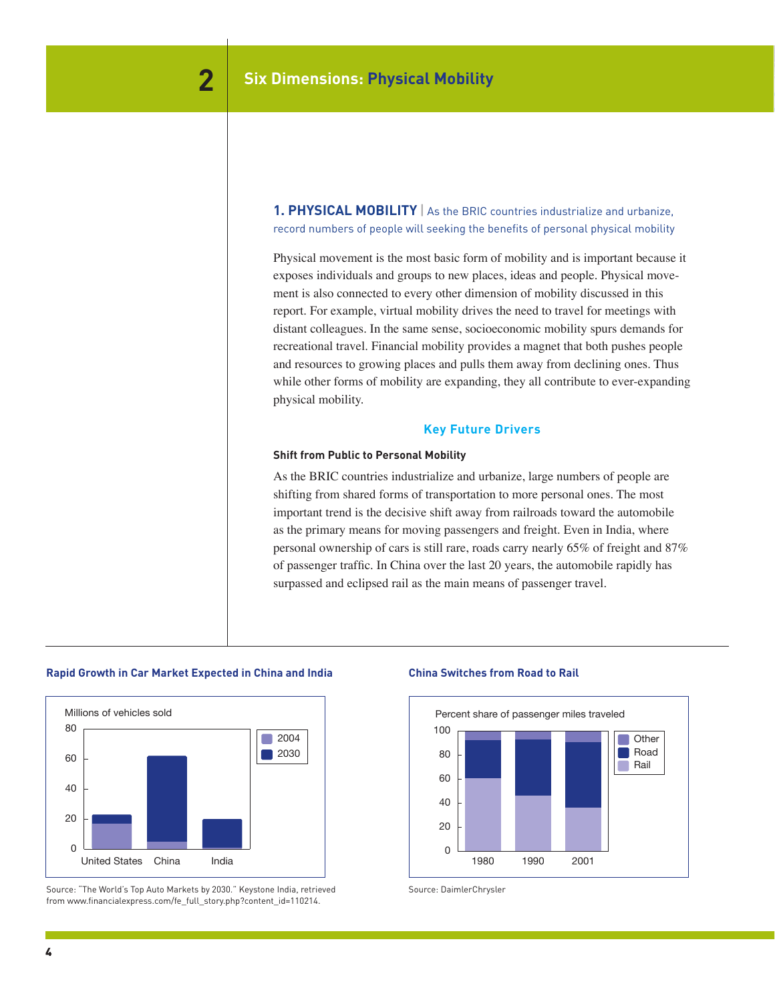**1. PHYSICAL MOBILITY** | As the BRIC countries industrialize and urbanize, record numbers of people will seeking the benefits of personal physical mobility

Physical movement is the most basic form of mobility and is important because it exposes individuals and groups to new places, ideas and people. Physical movement is also connected to every other dimension of mobility discussed in this report. For example, virtual mobility drives the need to travel for meetings with distant colleagues. In the same sense, socioeconomic mobility spurs demands for recreational travel. Financial mobility provides a magnet that both pushes people and resources to growing places and pulls them away from declining ones. Thus while other forms of mobility are expanding, they all contribute to ever-expanding physical mobility.

# **Key Future Drivers**

#### **Shift from Public to Personal Mobility**

As the BRIC countries industrialize and urbanize, large numbers of people are shifting from shared forms of transportation to more personal ones. The most important trend is the decisive shift away from railroads toward the automobile as the primary means for moving passengers and freight. Even in India, where personal ownership of cars is still rare, roads carry nearly 65% of freight and 87% of passenger traffic. In China over the last 20 years, the automobile rapidly has surpassed and eclipsed rail as the main means of passenger travel.



**Rapid Growth in Car Market Expected in China and India**

Rapid Growth in Car Markets Expected in China and India

from www.financialexpress.com/fe\_full\_story.php?content\_id=110214.<br>. Source: "The World's Top Auto Markets by 2030." Keystone India, retrieved Source: DaimlerChrysler

# **China Switches from Road to Rail**

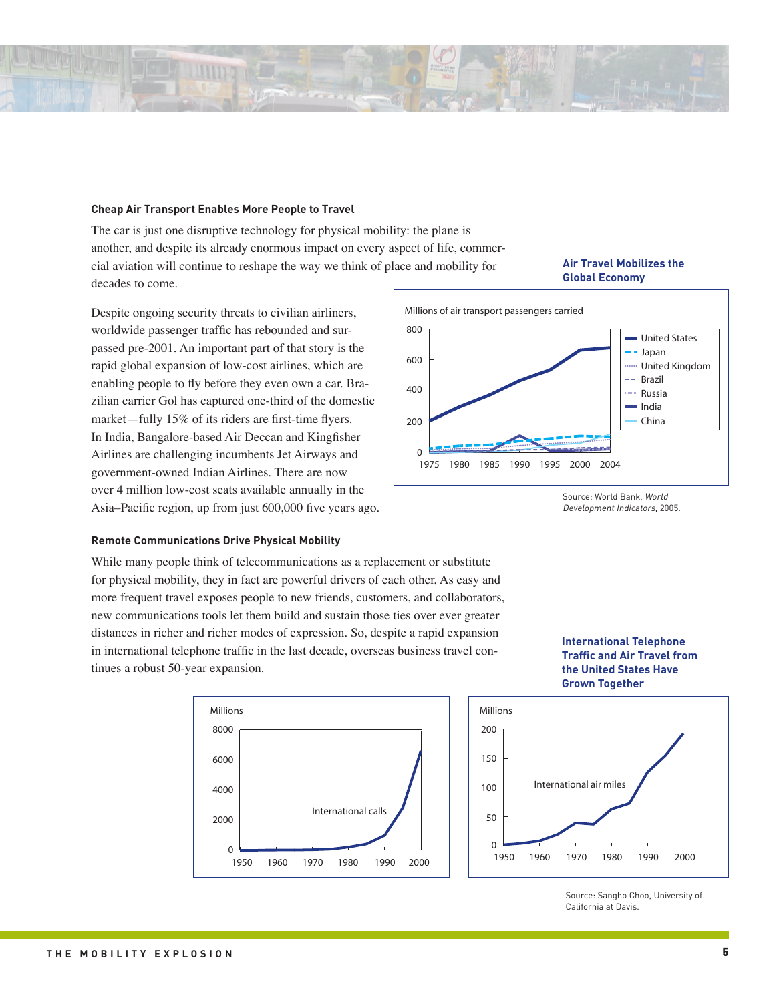

**LUTTER LA** 

The car is just one disruptive technology for physical mobility: the plane is another, and despite its already enormous impact on every aspect of life, commercial aviation will continue to reshape the way we think of place and mobility for decades to come. Air Travel Mobilizes the Global Economy

Despite ongoing security threats to civilian airliners, worldwide passenger traffic has rebounded and surpassed pre-2001. An important part of that story is the rapid global expansion of low-cost airlines, which are enabling people to fly before they even own a car. Brazilian carrier Gol has captured one-third of the domestic market—fully 15% of its riders are first-time flyers. In India, Bangalore-based Air Deccan and Kingfisher Airlines are challenging incumbents Jet Airways and government-owned Indian Airlines. There are now over 4 million low-cost seats available annually in the Asia–Pacific region, up from just 600,000 five years ago.

#### **Remote Communications Drive Physical Mobility**

While many people think of telecommunications as a replacement or substitute for physical mobility, they in fact are powerful drivers of each other. As easy and more frequent travel exposes people to new friends, customers, and collaborators, new communications tools let them build and sustain those ties over ever greater distances in richer and richer modes of expression. So, despite a rapid expansion in international telephone traffic in the last decade, overseas business travel continues a robust 50-year expansion.





Source: Sangho Choo, University of **California at Davis.** 

# **Air Travel Mobilizes the Global Economy**



Source: World Bank, World Development Indicators, 2005.

Source: World Bank, World Development Indicators, 2005.

**International Telephone Traffic and Air Travel from the United States Have**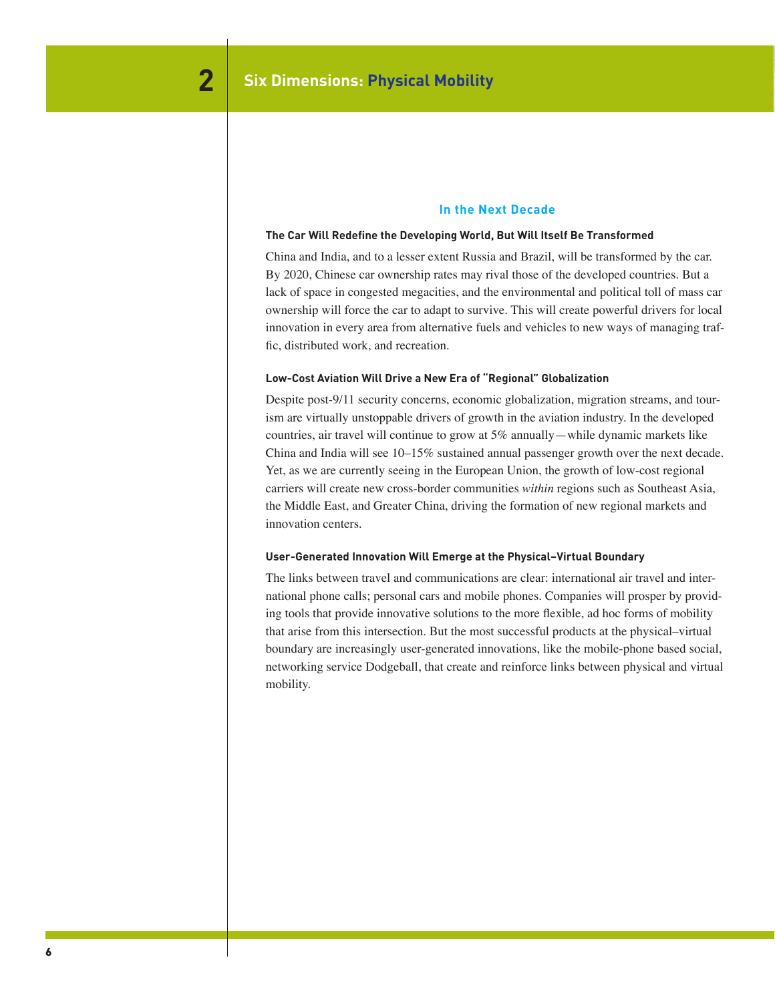## **In the Next Decade**

#### **The Car Will Redefine the Developing World, But Will Itself Be Transformed**

China and India, and to a lesser extent Russia and Brazil, will be transformed by the car. By 2020, Chinese car ownership rates may rival those of the developed countries. But a lack of space in congested megacities, and the environmental and political toll of mass car ownership will force the car to adapt to survive. This will create powerful drivers for local innovation in every area from alternative fuels and vehicles to new ways of managing traffic, distributed work, and recreation.

#### **Low-Cost Aviation Will Drive a New Era of "Regional" Globalization**

Despite post-9/11 security concerns, economic globalization, migration streams, and tourism are virtually unstoppable drivers of growth in the aviation industry. In the developed countries, air travel will continue to grow at 5% annually—while dynamic markets like China and India will see 10–15% sustained annual passenger growth over the next decade. Yet, as we are currently seeing in the European Union, the growth of low-cost regional carriers will create new cross-border communities *within* regions such as Southeast Asia, the Middle East, and Greater China, driving the formation of new regional markets and innovation centers.

## **User-Generated Innovation Will Emerge at the Physical–Virtual Boundary**

The links between travel and communications are clear: international air travel and international phone calls; personal cars and mobile phones. Companies will prosper by providing tools that provide innovative solutions to the more flexible, ad hoc forms of mobility that arise from this intersection. But the most successful products at the physical–virtual boundary are increasingly user-generated innovations, like the mobile-phone based social, networking service Dodgeball, that create and reinforce links between physical and virtual mobility.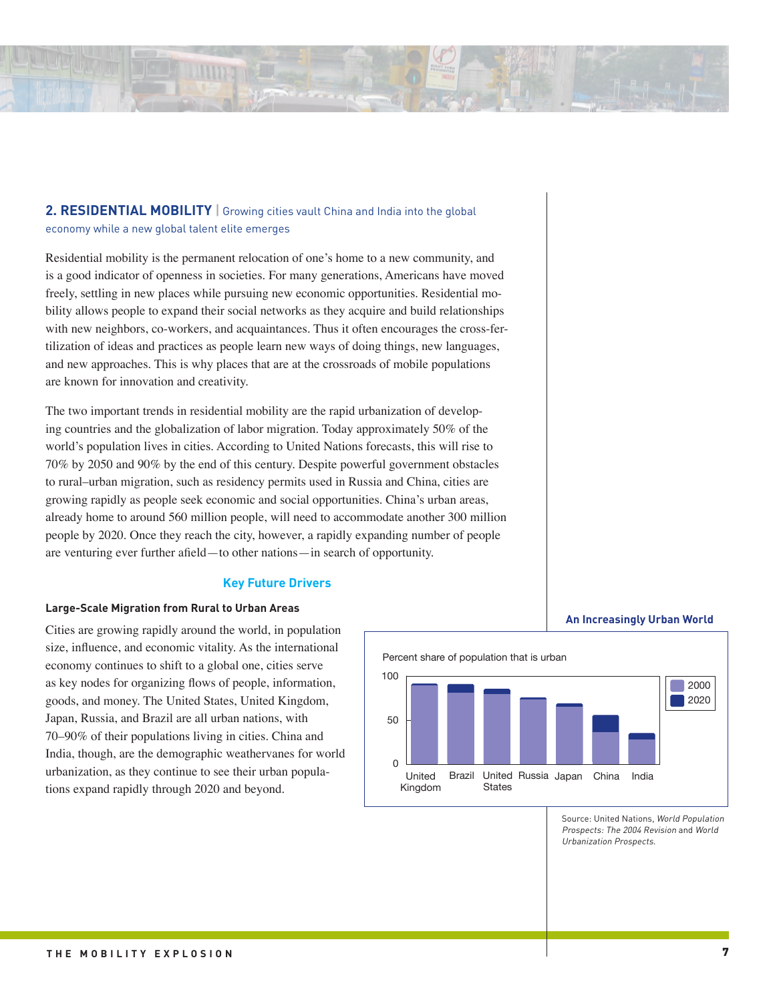

# **2. RESIDENTIAL MOBILITY** | Growing cities vault China and India into the global economy while a new global talent elite emerges

Residential mobility is the permanent relocation of one's home to a new community, and is a good indicator of openness in societies. For many generations, Americans have moved freely, settling in new places while pursuing new economic opportunities. Residential mobility allows people to expand their social networks as they acquire and build relationships with new neighbors, co-workers, and acquaintances. Thus it often encourages the cross-fertilization of ideas and practices as people learn new ways of doing things, new languages, and new approaches. This is why places that are at the crossroads of mobile populations are known for innovation and creativity.

The two important trends in residential mobility are the rapid urbanization of developing countries and the globalization of labor migration. Today approximately 50% of the world's population lives in cities. According to United Nations forecasts, this will rise to 70% by 2050 and 90% by the end of this century. Despite powerful government obstacles to rural–urban migration, such as residency permits used in Russia and China, cities are growing rapidly as people seek economic and social opportunities. China's urban areas, already home to around 560 million people, will need to accommodate another 300 million people by 2020. Once they reach the city, however, a rapidly expanding number of people are venturing ever further afield—to other nations—in search of opportunity.

# **Key Future Drivers**

#### **Large-Scale Migration from Rural to Urban Areas**

Cities are growing rapidly around the world, in population size, influence, and economic vitality. As the international economy continues to shift to a global one, cities serve as key nodes for organizing flows of people, information, goods, and money. The United States, United Kingdom, Japan, Russia, and Brazil are all urban nations, with 70–90% of their populations living in cities. China and India, though, are the demographic weathervanes for world urbanization, as they continue to see their urban populations expand rapidly through 2020 and beyond.



(Percent share of population that is urban)

Source: United Nations, World Population Prospects: The 2004 Revision and World Urbanization Prospects.

**An Increasingly Urban World**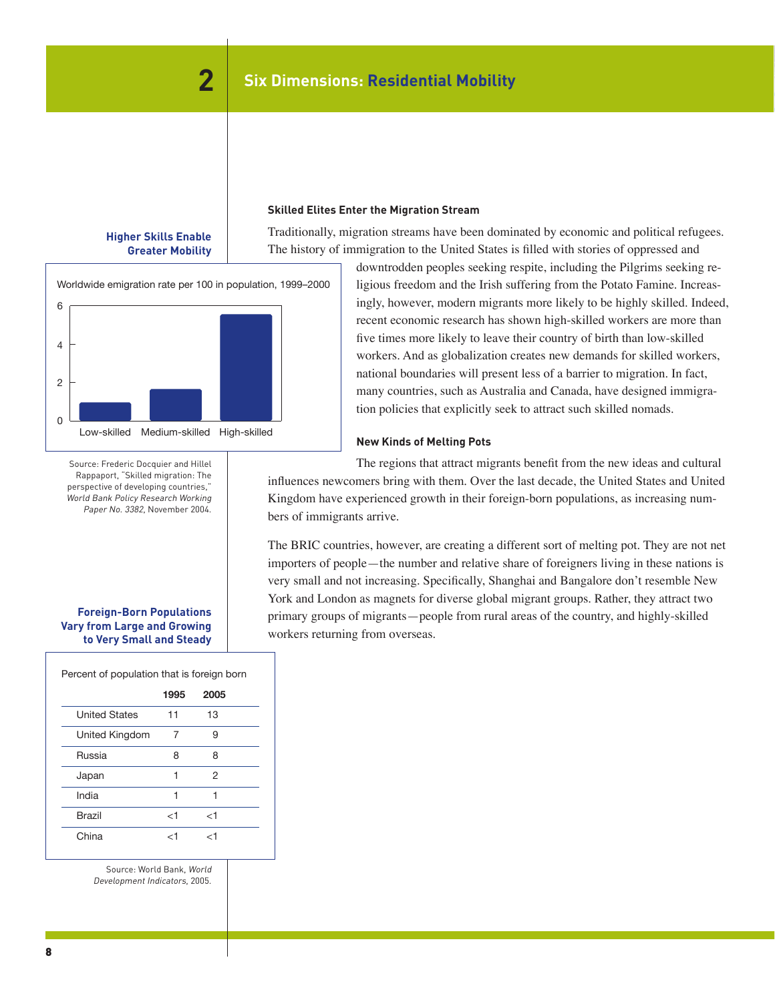#### **Skilled Elites Enter the Migration Stream**

**Higher Skills Enable Greater Mobility**

Higher Skills Enable Higher Mobility

 $H$   $\theta$  and  $\theta$  Finitionally, migration streams have been dominated by economic and political refugees. The history of immigration to the United States is filled with stories of oppressed and





Source: Frederic Docquier and Hillel Prederic Doctor Doctor and Hills<br>Rappaport, "Skilled migration: The state of the state of the state of the state of the state of the state of t mercipers, successing countries," and influences new perspective of developing coditions,<br>World Bank Policy Research Working Paper No. 3382, November 2004.

# **Foreign-Born Populations Vary from Large and Growing to Very Small and Steady**

Percent of population that is foreign born

|                      | 1995  | 2005  |  |
|----------------------|-------|-------|--|
| <b>United States</b> | 11    | 13    |  |
| United Kingdom       | 7     | 9     |  |
| Russia               | 8     | 8     |  |
| Japan                | 1     | 2     |  |
| India                | 1     | 1     |  |
| Brazil               | $<$ 1 | $<$ 1 |  |
| China                | ا /   | ا ⁄   |  |

Source: World Bank, World Development Indicators, 2005.

downtrodden peoples seeking respite, including the Pilgrims seeking religious freedom and the Irish suffering from the Potato Famine. Increasingly, however, modern migrants more likely to be highly skilled. Indeed, recent economic research has shown high-skilled workers are more than five times more likely to leave their country of birth than low-skilled workers. And as globalization creates new demands for skilled workers, national boundaries will present less of a barrier to migration. In fact, many countries, such as Australia and Canada, have designed immigration policies that explicitly seek to attract such skilled nomads.

#### **New Kinds of Melting Pots**

The regions that attract migrants benefit from the new ideas and cultural influences newcomers bring with them. Over the last decade, the United States and United Kingdom have experienced growth in their foreign-born populations, as increasing numbers of immigrants arrive.

The BRIC countries, however, are creating a different sort of melting pot. They are not net importers of people—the number and relative share of foreigners living in these nations is very small and not increasing. Specifically, Shanghai and Bangalore don't resemble New York and London as magnets for diverse global migrant groups. Rather, they attract two primary groups of migrants—people from rural areas of the country, and highly-skilled workers returning from overseas.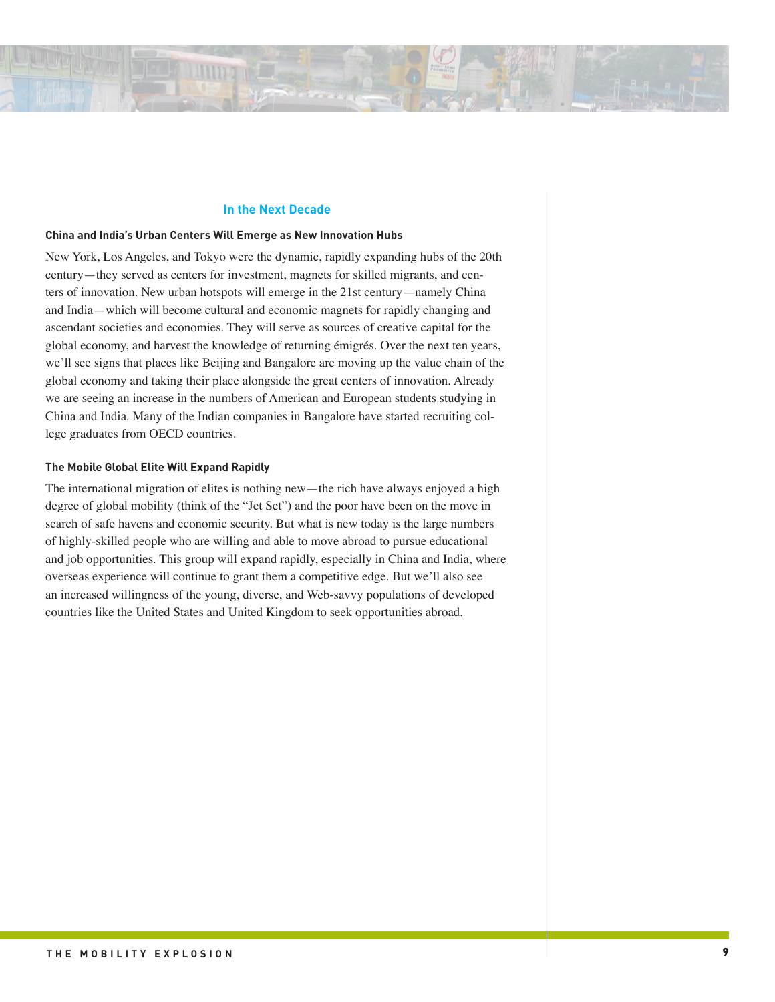#### **In the Next Decade**

#### **China and India's Urban Centers Will Emerge as New Innovation Hubs**

New York, Los Angeles, and Tokyo were the dynamic, rapidly expanding hubs of the 20th century—they served as centers for investment, magnets for skilled migrants, and centers of innovation. New urban hotspots will emerge in the 21st century—namely China and India—which will become cultural and economic magnets for rapidly changing and ascendant societies and economies. They will serve as sources of creative capital for the global economy, and harvest the knowledge of returning émigrés. Over the next ten years, we'll see signs that places like Beijing and Bangalore are moving up the value chain of the global economy and taking their place alongside the great centers of innovation. Already we are seeing an increase in the numbers of American and European students studying in China and India. Many of the Indian companies in Bangalore have started recruiting college graduates from OECD countries.

#### **The Mobile Global Elite Will Expand Rapidly**

The international migration of elites is nothing new—the rich have always enjoyed a high degree of global mobility (think of the "Jet Set") and the poor have been on the move in search of safe havens and economic security. But what is new today is the large numbers of highly-skilled people who are willing and able to move abroad to pursue educational and job opportunities. This group will expand rapidly, especially in China and India, where overseas experience will continue to grant them a competitive edge. But we'll also see an increased willingness of the young, diverse, and Web-savvy populations of developed countries like the United States and United Kingdom to seek opportunities abroad.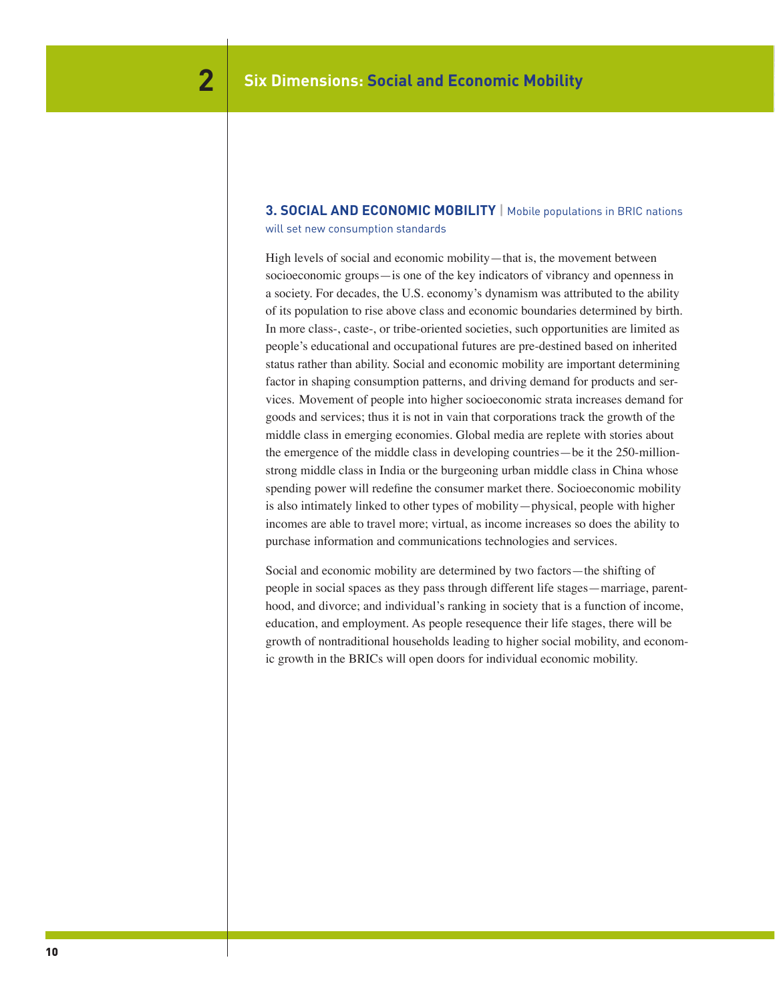# **3. SOCIAL AND ECONOMIC MOBILITY** | Mobile populations in BRIC nations

will set new consumption standards

High levels of social and economic mobility—that is, the movement between socioeconomic groups—is one of the key indicators of vibrancy and openness in a society. For decades, the U.S. economy's dynamism was attributed to the ability of its population to rise above class and economic boundaries determined by birth. In more class-, caste-, or tribe-oriented societies, such opportunities are limited as people's educational and occupational futures are pre-destined based on inherited status rather than ability. Social and economic mobility are important determining factor in shaping consumption patterns, and driving demand for products and services. Movement of people into higher socioeconomic strata increases demand for goods and services; thus it is not in vain that corporations track the growth of the middle class in emerging economies. Global media are replete with stories about the emergence of the middle class in developing countries—be it the 250-millionstrong middle class in India or the burgeoning urban middle class in China whose spending power will redefine the consumer market there. Socioeconomic mobility is also intimately linked to other types of mobility—physical, people with higher incomes are able to travel more; virtual, as income increases so does the ability to purchase information and communications technologies and services.

Social and economic mobility are determined by two factors—the shifting of people in social spaces as they pass through different life stages—marriage, parenthood, and divorce; and individual's ranking in society that is a function of income, education, and employment. As people resequence their life stages, there will be growth of nontraditional households leading to higher social mobility, and economic growth in the BRICs will open doors for individual economic mobility.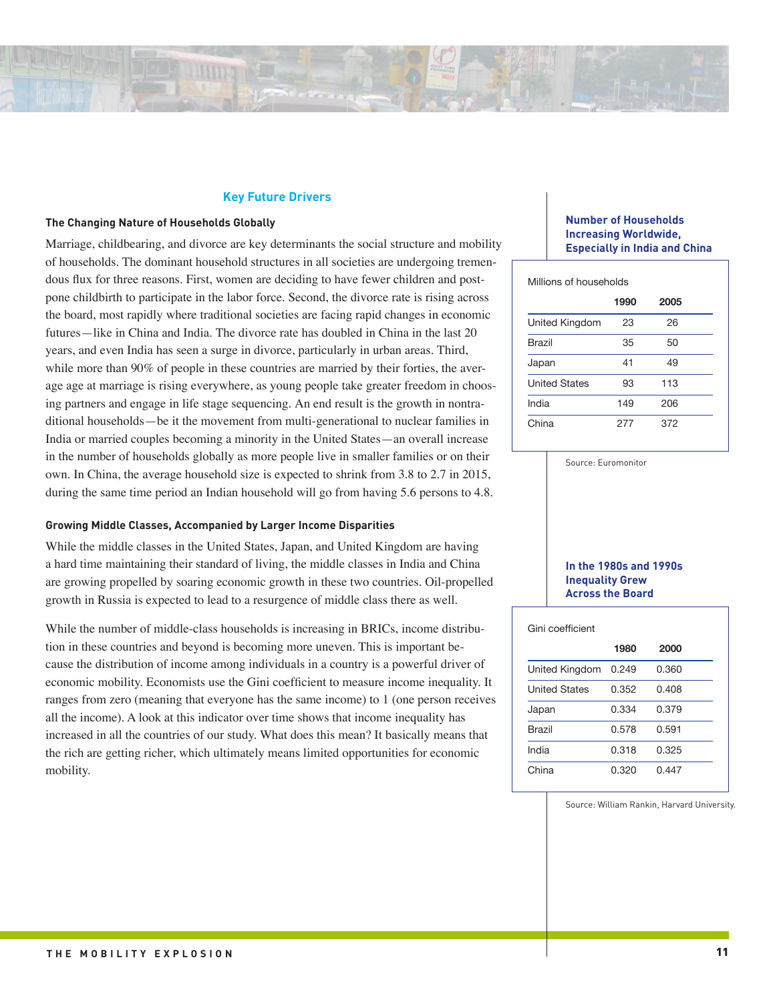# **Key Future Drivers**

#### **The Changing Nature of Households Globally**

Marriage, childbearing, and divorce are key determinants the social structure and mobility of households. The dominant household structures in all societies are undergoing tremendous flux for three reasons. First, women are deciding to have fewer children and postpone childbirth to participate in the labor force. Second, the divorce rate is rising across the board, most rapidly where traditional societies are facing rapid changes in economic futures—like in China and India. The divorce rate has doubled in China in the last 20 years, and even India has seen a surge in divorce, particularly in urban areas. Third, while more than 90% of people in these countries are married by their forties, the average age at marriage is rising everywhere, as young people take greater freedom in choosing partners and engage in life stage sequencing. An end result is the growth in nontraditional households—be it the movement from multi-generational to nuclear families in India or married couples becoming a minority in the United States—an overall increase in the number of households globally as more people live in smaller families or on their own. In China, the average household size is expected to shrink from 3.8 to 2.7 in 2015, during the same time period an Indian household will go from having 5.6 persons to 4.8.

## **Growing Middle Classes, Accompanied by Larger Income Disparities**

While the middle classes in the United States, Japan, and United Kingdom are having a hard time maintaining their standard of living, the middle classes in India and China are growing propelled by soaring economic growth in these two countries. Oil-propelled growth in Russia is expected to lead to a resurgence of middle class there as well.

While the number of middle-class households is increasing in BRICs, income distribution in these countries and beyond is becoming more uneven. This is important because the distribution of income among individuals in a country is a powerful driver of economic mobility. Economists use the Gini coefficient to measure income inequality. It ranges from zero (meaning that everyone has the same income) to 1 (one person receives all the income). A look at this indicator over time shows that income inequality has increased in all the countries of our study. What does this mean? It basically means that the rich are getting richer, which ultimately means limited opportunities for economic mobility.

# **Number of Households Increasing Worldwide, Especially in India and China**

| Millions of households |     |     |  |  |  |  |  |
|------------------------|-----|-----|--|--|--|--|--|
| 1990<br>2005           |     |     |  |  |  |  |  |
| United Kingdom         | 23  | 26  |  |  |  |  |  |
| <b>Brazil</b>          | 35  | 50  |  |  |  |  |  |
| Japan                  | 41  | 49  |  |  |  |  |  |
| <b>United States</b>   | 93  | 113 |  |  |  |  |  |
| India                  | 149 | 206 |  |  |  |  |  |
| China                  | 277 | 372 |  |  |  |  |  |

Source: Euromonitor

#### **In the 1980s and 1990s Inequality Grew Across the Board**

| Gini coefficient     |       |       |  |  |  |  |
|----------------------|-------|-------|--|--|--|--|
|                      | 1980  | 2000  |  |  |  |  |
| United Kingdom       | 0.249 | 0.360 |  |  |  |  |
| <b>United States</b> | 0.352 | 0.408 |  |  |  |  |
| Japan                | 0.334 | 0.379 |  |  |  |  |
| Brazil               | 0.578 | 0.591 |  |  |  |  |
| India                | 0.318 | 0.325 |  |  |  |  |
| China                | 0.320 | 0.447 |  |  |  |  |

Source: William Rankin, Harvard University.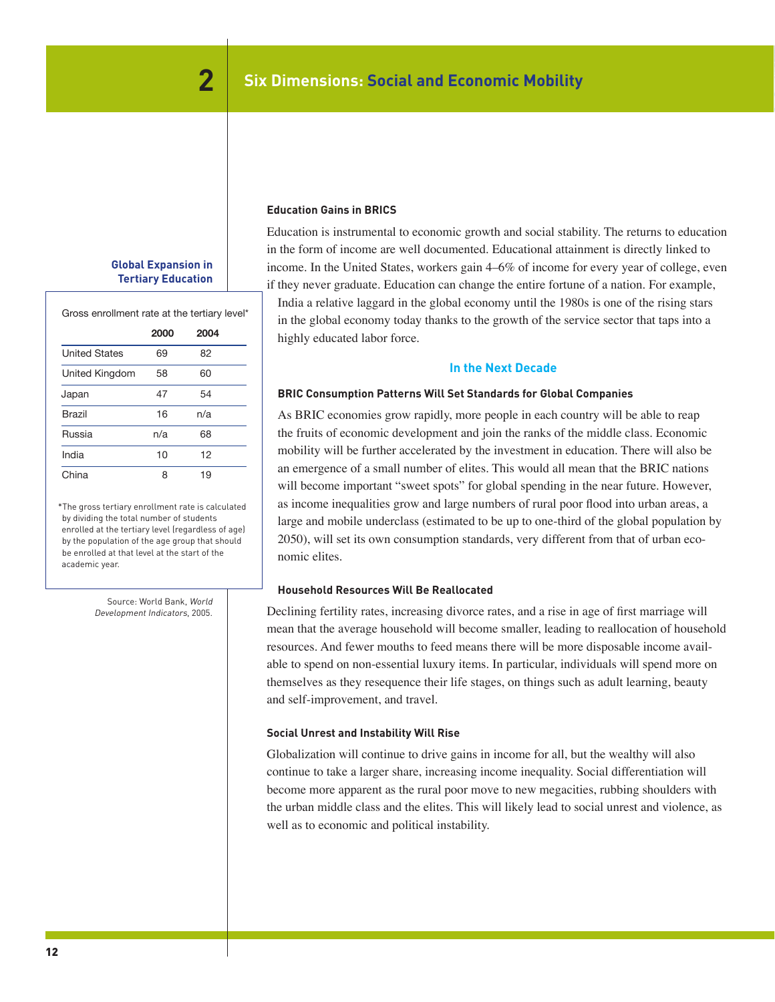# **Global Expansion in Tertiary Education**

Gross enrollment rate at the tertiary level\*

|                      | 2000 | 2004 |  |
|----------------------|------|------|--|
| <b>United States</b> | 69   | 82   |  |
| United Kingdom       | 58   | 60   |  |
| Japan                | 47   | 54   |  |
| Brazil               | 16   | n/a  |  |
| Russia               | n/a  | 68   |  |
| India                | 10   | 12   |  |
| China                |      | 19   |  |

\*The gross tertiary enrollment rate is calculated by dividing the total number of students enrolled at the tertiary level (regardless of age) by the population of the age group that should be enrolled at that level at the start of the academic year.

> Source: World Bank, World Development Indicators, 2005.

# **Education Gains in BRICS**

Education is instrumental to economic growth and social stability. The returns to education in the form of income are well documented. Educational attainment is directly linked to income. In the United States, workers gain 4–6% of income for every year of college, even if they never graduate. Education can change the entire fortune of a nation. For example, India a relative laggard in the global economy until the 1980s is one of the rising stars in the global economy today thanks to the growth of the service sector that taps into a highly educated labor force.

# **In the Next Decade**

# **BRIC Consumption Patterns Will Set Standards for Global Companies**

As BRIC economies grow rapidly, more people in each country will be able to reap the fruits of economic development and join the ranks of the middle class. Economic mobility will be further accelerated by the investment in education. There will also be an emergence of a small number of elites. This would all mean that the BRIC nations will become important "sweet spots" for global spending in the near future. However, as income inequalities grow and large numbers of rural poor flood into urban areas, a large and mobile underclass (estimated to be up to one-third of the global population by 2050), will set its own consumption standards, very different from that of urban economic elites.

#### **Household Resources Will Be Reallocated**

Declining fertility rates, increasing divorce rates, and a rise in age of first marriage will mean that the average household will become smaller, leading to reallocation of household resources. And fewer mouths to feed means there will be more disposable income available to spend on non-essential luxury items. In particular, individuals will spend more on themselves as they resequence their life stages, on things such as adult learning, beauty and self-improvement, and travel.

#### **Social Unrest and Instability Will Rise**

Globalization will continue to drive gains in income for all, but the wealthy will also continue to take a larger share, increasing income inequality. Social differentiation will become more apparent as the rural poor move to new megacities, rubbing shoulders with the urban middle class and the elites. This will likely lead to social unrest and violence, as well as to economic and political instability.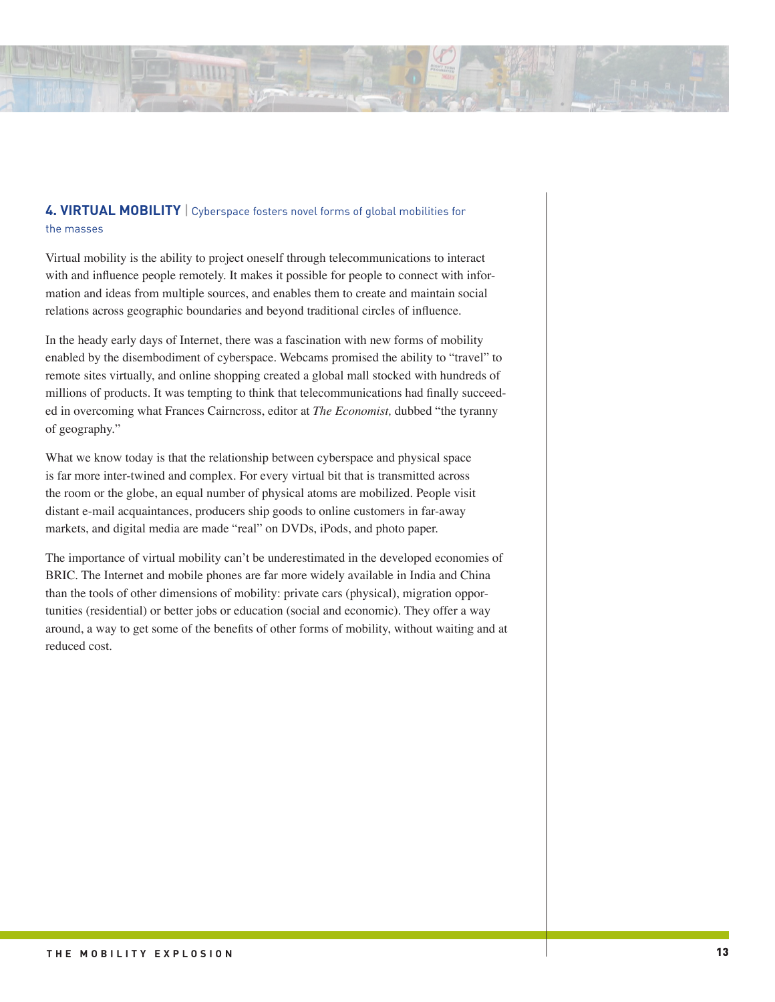

# **4. VIRTUAL MOBILITY** | Cyberspace fosters novel forms of global mobilities for the masses

Virtual mobility is the ability to project oneself through telecommunications to interact with and influence people remotely. It makes it possible for people to connect with information and ideas from multiple sources, and enables them to create and maintain social relations across geographic boundaries and beyond traditional circles of influence.

In the heady early days of Internet, there was a fascination with new forms of mobility enabled by the disembodiment of cyberspace. Webcams promised the ability to "travel" to remote sites virtually, and online shopping created a global mall stocked with hundreds of millions of products. It was tempting to think that telecommunications had finally succeeded in overcoming what Frances Cairncross, editor at *The Economist,* dubbed "the tyranny of geography."

What we know today is that the relationship between cyberspace and physical space is far more inter-twined and complex. For every virtual bit that is transmitted across the room or the globe, an equal number of physical atoms are mobilized. People visit distant e-mail acquaintances, producers ship goods to online customers in far-away markets, and digital media are made "real" on DVDs, iPods, and photo paper.

The importance of virtual mobility can't be underestimated in the developed economies of BRIC. The Internet and mobile phones are far more widely available in India and China than the tools of other dimensions of mobility: private cars (physical), migration opportunities (residential) or better jobs or education (social and economic). They offer a way around, a way to get some of the benefits of other forms of mobility, without waiting and at reduced cost.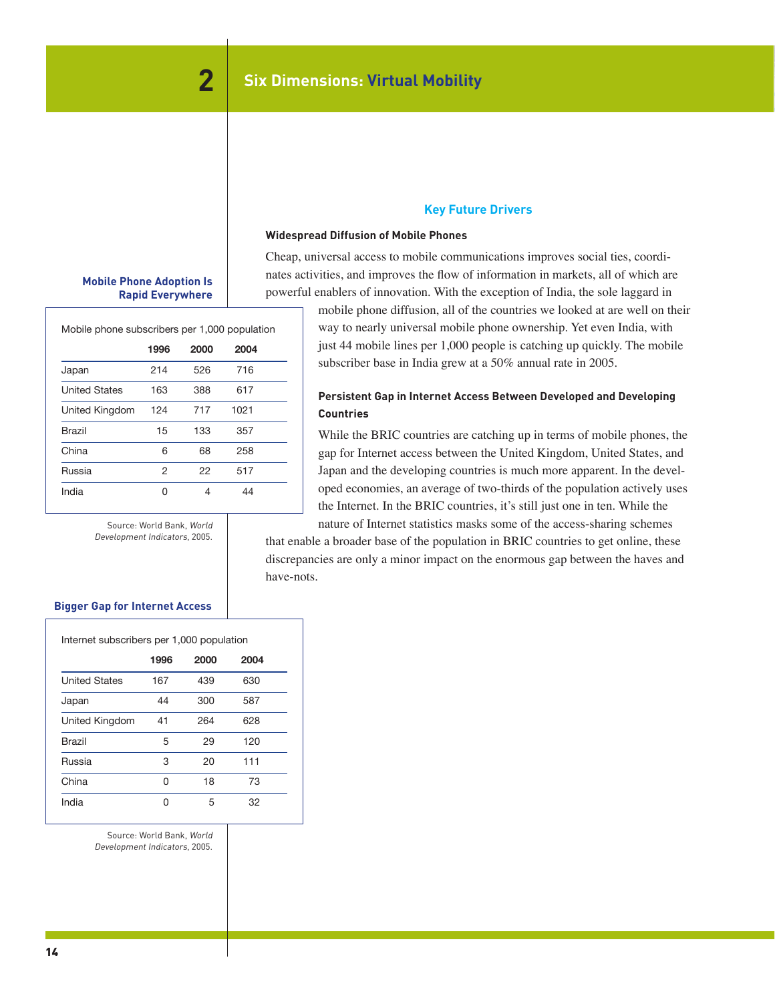# **Mobile Phone Adoption Is Rapid Everywhere**

Mobile phone subscribers per 1,000 population

|                      | 1996 | 2000 | 2004 |  |
|----------------------|------|------|------|--|
| Japan                | 214  | 526  | 716  |  |
| <b>United States</b> | 163  | 388  | 617  |  |
| United Kingdom       | 124  | 717  | 1021 |  |
| <b>Brazil</b>        | 15   | 133  | 357  |  |
| China                | 6    | 68   | 258  |  |
| Russia               | 2    | 22   | 517  |  |
| India                | O    | 4    | 44   |  |

Source: World Bank, World Development Indicators, 2005.

# **Key Future Drivers**

## **Widespread Diffusion of Mobile Phones**

Cheap, universal access to mobile communications improves social ties, coordinates activities, and improves the flow of information in markets, all of which are powerful enablers of innovation. With the exception of India, the sole laggard in

> mobile phone diffusion, all of the countries we looked at are well on their way to nearly universal mobile phone ownership. Yet even India, with just 44 mobile lines per 1,000 people is catching up quickly. The mobile subscriber base in India grew at a 50% annual rate in 2005.

# **Persistent Gap in Internet Access Between Developed and Developing Countries**

While the BRIC countries are catching up in terms of mobile phones, the gap for Internet access between the United Kingdom, United States, and Japan and the developing countries is much more apparent. In the developed economies, an average of two-thirds of the population actively uses the Internet. In the BRIC countries, it's still just one in ten. While the nature of Internet statistics masks some of the access-sharing schemes

that enable a broader base of the population in BRIC countries to get online, these discrepancies are only a minor impact on the enormous gap between the haves and have-nots.

# **Bigger Gap for Internet Access**

| Internet subscribers per 1,000 population |     |     |     |  |  |  |  |
|-------------------------------------------|-----|-----|-----|--|--|--|--|
| 2004<br>1996<br>2000                      |     |     |     |  |  |  |  |
| <b>United States</b>                      | 167 | 439 | 630 |  |  |  |  |
| Japan                                     | 44  | 300 | 587 |  |  |  |  |
| United Kingdom                            | 41  | 264 | 628 |  |  |  |  |
| <b>Brazil</b>                             | 5   | 29  | 120 |  |  |  |  |
| Russia                                    | 3   | 20  | 111 |  |  |  |  |
| China                                     | O   | 18  | 73  |  |  |  |  |
| India                                     | ∩   | 5   | 32  |  |  |  |  |

Source: World Bank, World Development Indicators, 2005.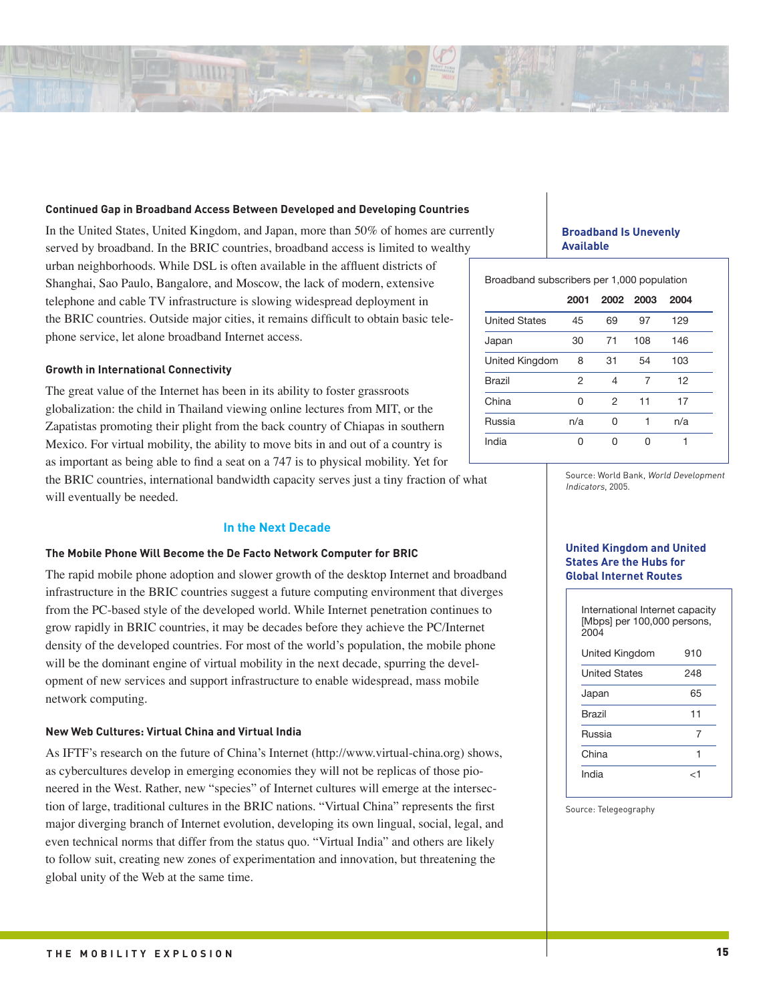

# **Continued Gap in Broadband Access Between Developed and Developing Countries**

In the United States, United Kingdom, and Japan, more than 50% of homes are currently served by broadband. In the BRIC countries, broadband access is limited to wealthy urban neighborhoods. While DSL is often available in the affluent districts of

Shanghai, Sao Paulo, Bangalore, and Moscow, the lack of modern, extensive telephone and cable TV infrastructure is slowing widespread deployment in the BRIC countries. Outside major cities, it remains difficult to obtain basic telephone service, let alone broadband Internet access.

# **Growth in International Connectivity**

The great value of the Internet has been in its ability to foster grassroots globalization: the child in Thailand viewing online lectures from MIT, or the Zapatistas promoting their plight from the back country of Chiapas in southern Mexico. For virtual mobility, the ability to move bits in and out of a country is as important as being able to find a seat on a 747 is to physical mobility. Yet for the BRIC countries, international bandwidth capacity serves just a tiny fraction of what will eventually be needed.

## **In the Next Decade**

# **The Mobile Phone Will Become the De Facto Network Computer for BRIC**

The rapid mobile phone adoption and slower growth of the desktop Internet and broadband infrastructure in the BRIC countries suggest a future computing environment that diverges from the PC-based style of the developed world. While Internet penetration continues to grow rapidly in BRIC countries, it may be decades before they achieve the PC/Internet density of the developed countries. For most of the world's population, the mobile phone will be the dominant engine of virtual mobility in the next decade, spurring the development of new services and support infrastructure to enable widespread, mass mobile network computing.

#### **New Web Cultures: Virtual China and Virtual India**

As IFTF's research on the future of China's Internet (http://www.virtual-china.org) shows, as cybercultures develop in emerging economies they will not be replicas of those pioneered in the West. Rather, new "species" of Internet cultures will emerge at the intersection of large, traditional cultures in the BRIC nations. "Virtual China" represents the first major diverging branch of Internet evolution, developing its own lingual, social, legal, and even technical norms that differ from the status quo. "Virtual India" and others are likely to follow suit, creating new zones of experimentation and innovation, but threatening the global unity of the Web at the same time.

# **Broadband Is Unevenly Available**

Broadband subscribers per 1,000 population

|                      | 2001 |    | 2002 2003 | 2004 |
|----------------------|------|----|-----------|------|
| <b>United States</b> | 45   | 69 | 97        | 129  |
| Japan                | 30   | 71 | 108       | 146  |
| United Kingdom       | 8    | 31 | 54        | 103  |
| Brazil               | 2    | 4  | 7         | 12   |
| China                | O    | 2  | 11        | 17   |
| Russia               | n/a  | O  | 1         | n/a  |
| India                | Ω    | n  | U         |      |

Source: World Bank, World Development Indicators, 2005.

## **United Kingdom and United States Are the Hubs for Global Internet Routes**

| International Internet capacity<br>[Mbps] per 100,000 persons,<br>2004 |     |  |  |  |  |
|------------------------------------------------------------------------|-----|--|--|--|--|
| United Kingdom                                                         | 910 |  |  |  |  |
| <b>United States</b>                                                   | 248 |  |  |  |  |
| Japan                                                                  | 65  |  |  |  |  |
| <b>Brazil</b>                                                          | 11  |  |  |  |  |
| Russia                                                                 | 7   |  |  |  |  |
| China                                                                  |     |  |  |  |  |
| India                                                                  | ا م |  |  |  |  |

Source: Telegeography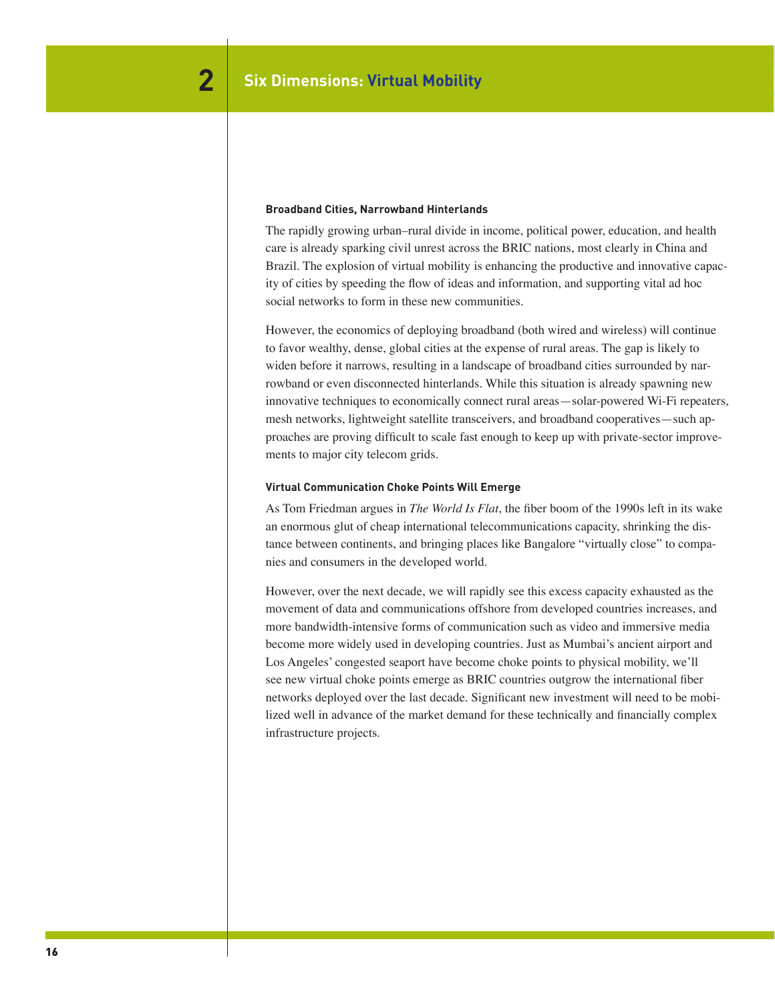### **Broadband Cities, Narrowband Hinterlands**

The rapidly growing urban–rural divide in income, political power, education, and health care is already sparking civil unrest across the BRIC nations, most clearly in China and Brazil. The explosion of virtual mobility is enhancing the productive and innovative capacity of cities by speeding the flow of ideas and information, and supporting vital ad hoc social networks to form in these new communities.

However, the economics of deploying broadband (both wired and wireless) will continue to favor wealthy, dense, global cities at the expense of rural areas. The gap is likely to widen before it narrows, resulting in a landscape of broadband cities surrounded by narrowband or even disconnected hinterlands. While this situation is already spawning new innovative techniques to economically connect rural areas—solar-powered Wi-Fi repeaters, mesh networks, lightweight satellite transceivers, and broadband cooperatives—such approaches are proving difficult to scale fast enough to keep up with private-sector improvements to major city telecom grids.

#### **Virtual Communication Choke Points Will Emerge**

As Tom Friedman argues in *The World Is Flat*, the fiber boom of the 1990s left in its wake an enormous glut of cheap international telecommunications capacity, shrinking the distance between continents, and bringing places like Bangalore "virtually close" to companies and consumers in the developed world.

However, over the next decade, we will rapidly see this excess capacity exhausted as the movement of data and communications offshore from developed countries increases, and more bandwidth-intensive forms of communication such as video and immersive media become more widely used in developing countries. Just as Mumbai's ancient airport and Los Angeles' congested seaport have become choke points to physical mobility, we'll see new virtual choke points emerge as BRIC countries outgrow the international fiber networks deployed over the last decade. Significant new investment will need to be mobilized well in advance of the market demand for these technically and financially complex infrastructure projects.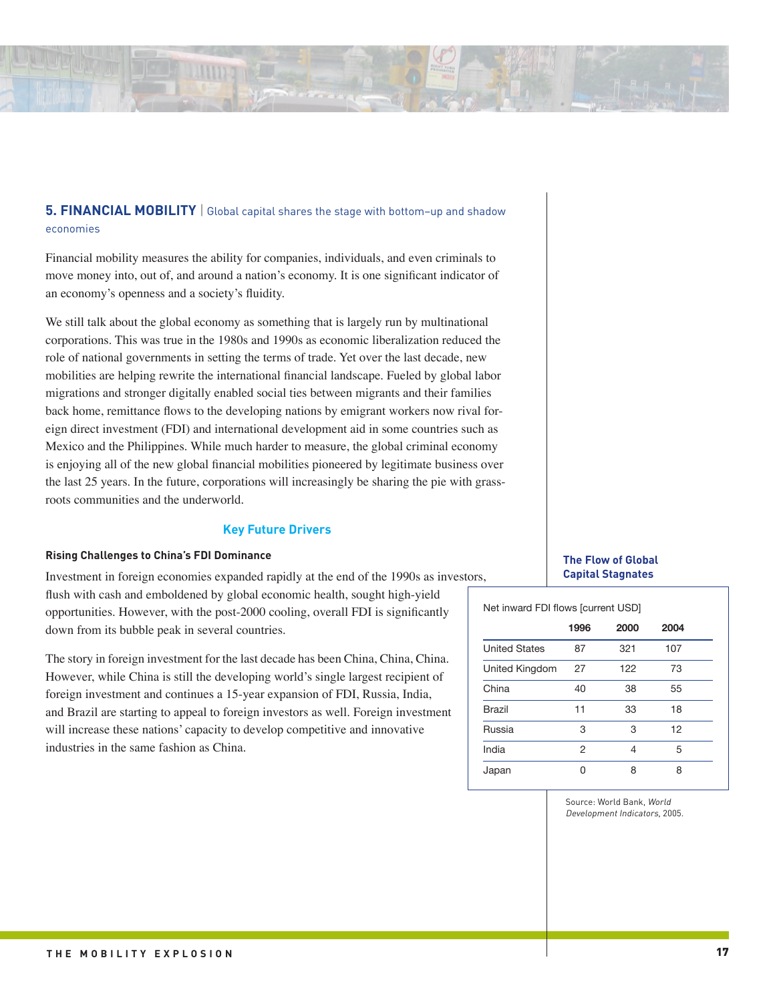

# **5. FINANCIAL MOBILITY** | Global capital shares the stage with bottom–up and shadow economies

Financial mobility measures the ability for companies, individuals, and even criminals to move money into, out of, and around a nation's economy. It is one significant indicator of an economy's openness and a society's fluidity.

We still talk about the global economy as something that is largely run by multinational corporations. This was true in the 1980s and 1990s as economic liberalization reduced the role of national governments in setting the terms of trade. Yet over the last decade, new mobilities are helping rewrite the international financial landscape. Fueled by global labor migrations and stronger digitally enabled social ties between migrants and their families back home, remittance flows to the developing nations by emigrant workers now rival foreign direct investment (FDI) and international development aid in some countries such as Mexico and the Philippines. While much harder to measure, the global criminal economy is enjoying all of the new global financial mobilities pioneered by legitimate business over the last 25 years. In the future, corporations will increasingly be sharing the pie with grassroots communities and the underworld.

# **Key Future Drivers**

# **Rising Challenges to China's FDI Dominance**

Investment in foreign economies expanded rapidly at the end of the 1990s as investors, flush with cash and emboldened by global economic health, sought high-yield opportunities. However, with the post-2000 cooling, overall FDI is significantly down from its bubble peak in several countries.

The story in foreign investment for the last decade has been China, China, China. However, while China is still the developing world's single largest recipient of foreign investment and continues a 15-year expansion of FDI, Russia, India, and Brazil are starting to appeal to foreign investors as well. Foreign investment will increase these nations' capacity to develop competitive and innovative industries in the same fashion as China.

# **The Flow of Global Capital Stagnates**

## Net inward FDI flows [current USD]

|                      | 1996 | 2000 | 2004 |
|----------------------|------|------|------|
| <b>United States</b> | 87   | 321  | 107  |
| United Kingdom       | 27   | 122  | 73   |
| China                | 40   | 38   | 55   |
| Brazil               | 11   | 33   | 18   |
| Russia               | 3    | 3    | 12   |
| India                | 2    | 4    | 5    |
| Japan                | n    | 8    | 8    |

Source: World Bank, World Development Indicators, 2005.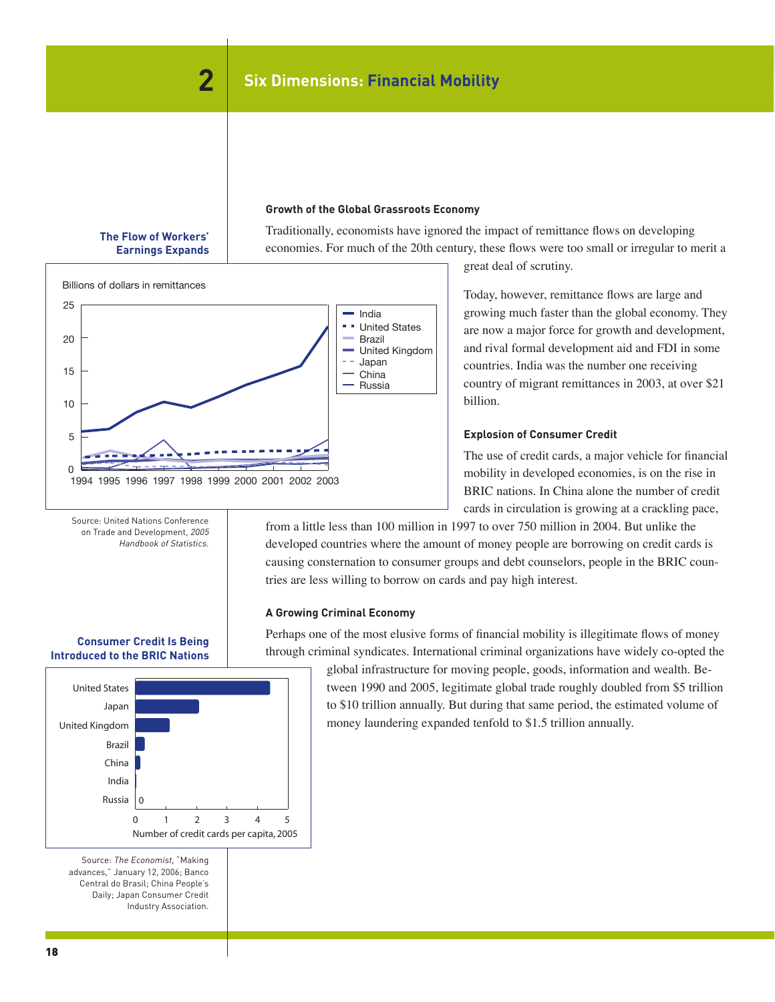## **Growth of the Global Grassroots Economy**

Traditionally, economists have ignored the impact of remittance flows on developing economies. For much of the 20th century, these flows were too small or irregular to merit a



The Flow of Workers' Earnings Expands

great deal of scrutiny.

Billions of dollars in remittances 25 India a an a United States 20 Brazil United Kingdom Japan 15 China Russia 10 5 0 1994 1995 1996 1997 1998 1999 2000 2001 2002 2003

Today, however, remittance flows are large and growing much faster than the global economy. They are now a major force for growth and development, and rival formal development aid and FDI in some countries. India was the number one receiving country of migrant remittances in 2003, at over \$21 billion.

## **Explosion of Consumer Credit**

The use of credit cards, a major vehicle for financial mobility in developed economies, is on the rise in BRIC nations. In China alone the number of credit cards in circulation is growing at a crackling pace,

from a little less than 100 million in 1997 to over 750 million in 2004. But unlike the developed countries where the amount of money people are borrowing on credit cards is causing consternation to consumer groups and debt counselors, people in the BRIC countries are less willing to borrow on cards and pay high interest.

#### **A Growing Criminal Economy** Consumer Credit Is Being Introduced to the BRIC Nations

Perhaps one of the most elusive forms of financial mobility is illegitimate flows of money through criminal syndicates. International criminal organizations have widely co-opted the

Source: The Economist, "Making advances," January 12, 2006; Banco Central do Brasil; China People's  $\qquad \qquad$ Daily; Japan Consumer Credit 0 1 2 3 4 5 Russia India China Brazil United Kingdom Japan United States  $\Omega$ Number of credit cards per capita, 2005

Industry Association. Credit Industry Association.

**Consumer Credit Is Being Introduced to the BRIC Nations**

(Number of credit cards per capita, 2005)

Source: United Nations Conference on Trade and Development, 2005 Handbook of Statistics.

global infrastructure for moving people, goods, information and wealth. Between 1990 and 2005, legitimate global trade roughly doubled from \$5 trillion to \$10 trillion annually. But during that same period, the estimated volume of money laundering expanded tenfold to \$1.5 trillion annually.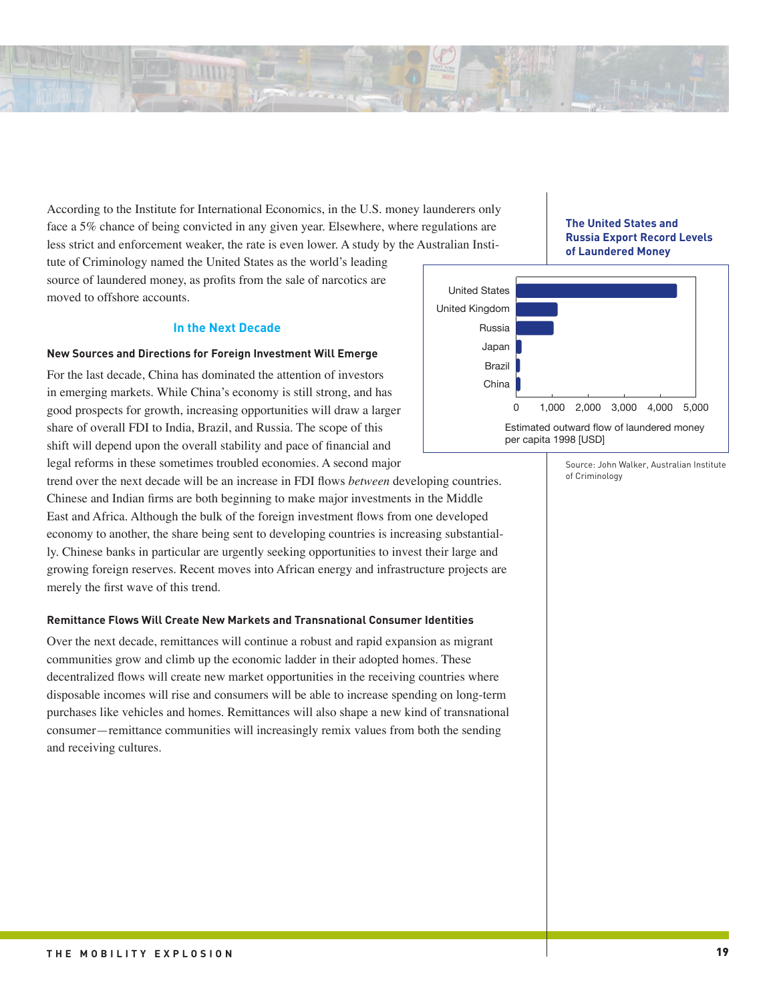According to the Institute for International Economics, in the U.S. money launderers only face a 5% chance of being convicted in any given year. Elsewhere, where regulations are less strict and enforcement weaker, the rate is even lower. A study by the Australian Insti-Superpowers, Super-Criminals: The United States and Russia Export Record Levels of Laundered Money

tute of Criminology named the United States as the world's leading source of laundered money, as profits from the sale of narcotics are moved to offshore accounts.

# **In the Next Decade**

# **New Sources and Directions for Foreign Investment Will Emerge**

For the last decade, China has dominated the attention of investors in emerging markets. While China's economy is still strong, and has good prospects for growth, increasing opportunities will draw a larger share of overall FDI to India, Brazil, and Russia. The scope of this shift will depend upon the overall stability and pace of financial and legal reforms in these sometimes troubled economies. A second major

trend over the next decade will be an increase in FDI flows *between* developing countries. Chinese and Indian firms are both beginning to make major investments in the Middle East and Africa. Although the bulk of the foreign investment flows from one developed economy to another, the share being sent to developing countries is increasing substantially. Chinese banks in particular are urgently seeking opportunities to invest their large and growing foreign reserves. Recent moves into African energy and infrastructure projects are merely the first wave of this trend.

# **Remittance Flows Will Create New Markets and Transnational Consumer Identities**

Over the next decade, remittances will continue a robust and rapid expansion as migrant communities grow and climb up the economic ladder in their adopted homes. These decentralized flows will create new market opportunities in the receiving countries where disposable incomes will rise and consumers will be able to increase spending on long-term purchases like vehicles and homes. Remittances will also shape a new kind of transnational consumer—remittance communities will increasingly remix values from both the sending and receiving cultures.

**The United States and Russia Export Record Levels of Laundered Money**  $(\text{terms on } y)$ 



Source: John Walker, Australian Institute of Criminology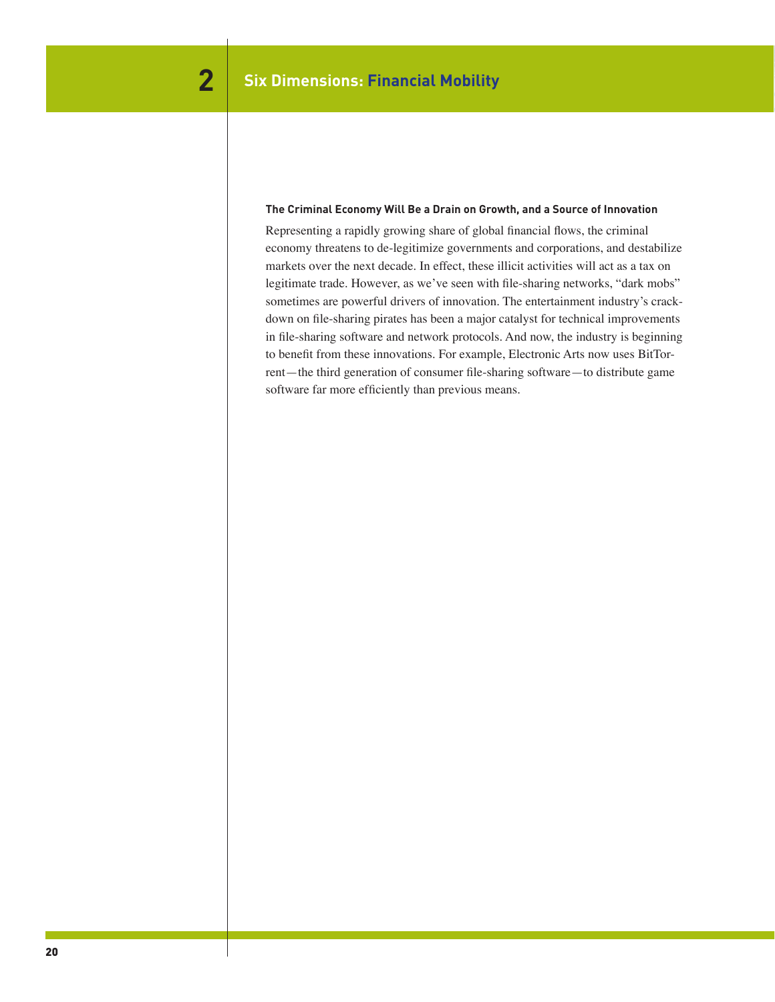# **The Criminal Economy Will Be a Drain on Growth, and a Source of Innovation**

Representing a rapidly growing share of global financial flows, the criminal economy threatens to de-legitimize governments and corporations, and destabilize markets over the next decade. In effect, these illicit activities will act as a tax on legitimate trade. However, as we've seen with file-sharing networks, "dark mobs" sometimes are powerful drivers of innovation. The entertainment industry's crackdown on file-sharing pirates has been a major catalyst for technical improvements in file-sharing software and network protocols. And now, the industry is beginning to benefit from these innovations. For example, Electronic Arts now uses BitTorrent—the third generation of consumer file-sharing software—to distribute game software far more efficiently than previous means.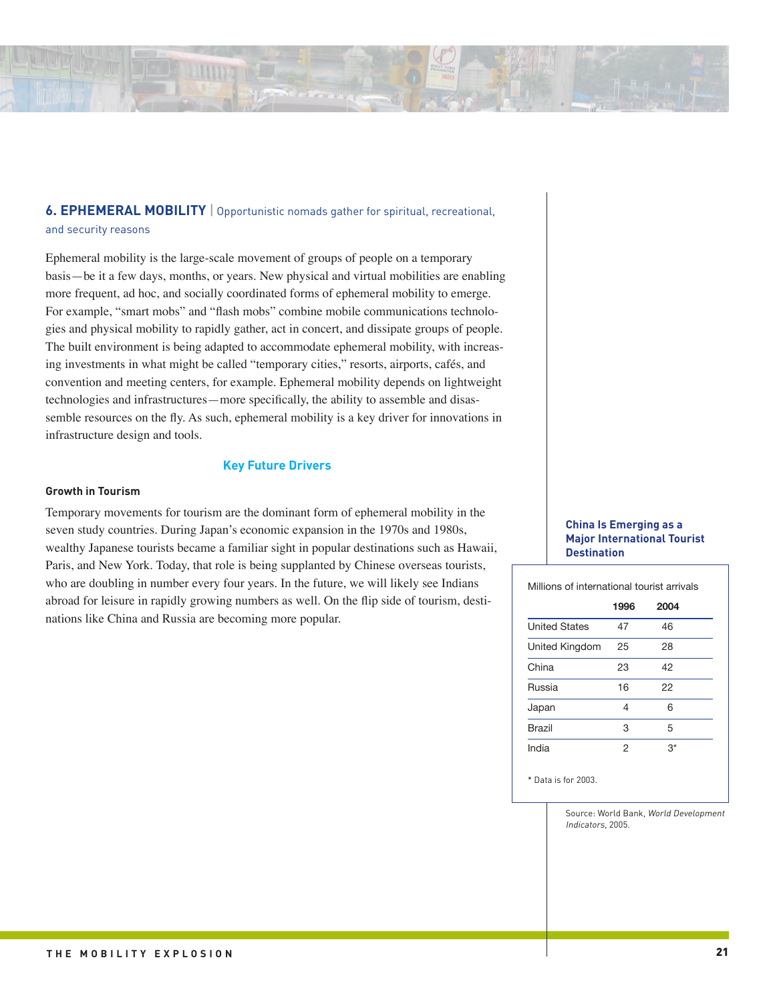

# **6. EPHEMERAL MOBILITY** | Opportunistic nomads gather for spiritual, recreational, and security reasons

Ephemeral mobility is the large-scale movement of groups of people on a temporary basis—be it a few days, months, or years. New physical and virtual mobilities are enabling more frequent, ad hoc, and socially coordinated forms of ephemeral mobility to emerge. For example, "smart mobs" and "flash mobs" combine mobile communications technologies and physical mobility to rapidly gather, act in concert, and dissipate groups of people. The built environment is being adapted to accommodate ephemeral mobility, with increasing investments in what might be called "temporary cities," resorts, airports, cafés, and convention and meeting centers, for example. Ephemeral mobility depends on lightweight technologies and infrastructures—more specifically, the ability to assemble and disassemble resources on the fly. As such, ephemeral mobility is a key driver for innovations in infrastructure design and tools.

# **Key Future Drivers**

#### **Growth in Tourism**

Temporary movements for tourism are the dominant form of ephemeral mobility in the seven study countries. During Japan's economic expansion in the 1970s and 1980s, wealthy Japanese tourists became a familiar sight in popular destinations such as Hawaii, Paris, and New York. Today, that role is being supplanted by Chinese overseas tourists, who are doubling in number every four years. In the future, we will likely see Indians abroad for leisure in rapidly growing numbers as well. On the flip side of tourism, destinations like China and Russia are becoming more popular.

# **China Is Emerging as a Major International Tourist Destination**

Millions of international tourist arrivals

|                      | 1996 | 2004 |  |
|----------------------|------|------|--|
| <b>United States</b> | 47   | 46   |  |
| United Kingdom       | 25   | 28   |  |
| China                | 23   | 42   |  |
| Russia               | 16   | 22   |  |
| Japan                | 4    | 6    |  |
| Brazil               | 3    | 5    |  |
| India                | 2    | 3*   |  |

\* Data is for 2003.

Source: World Bank, World Development Indicators, 2005.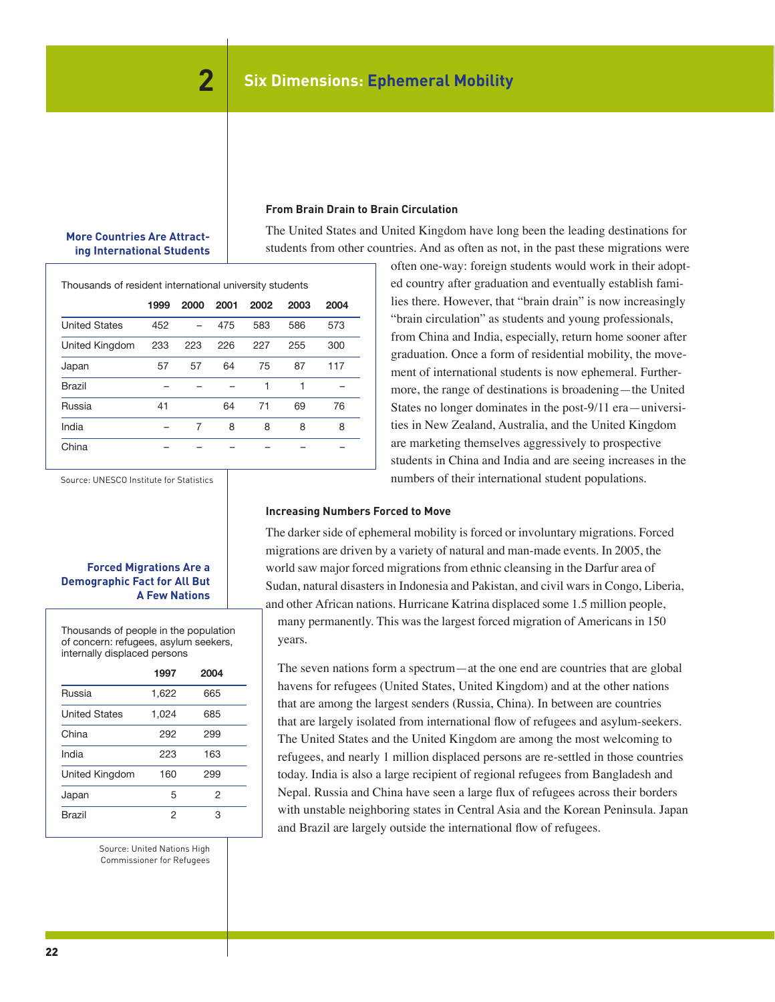# **More Countries Are Attracting International Students**

**From Brain Drain to Brain Circulation**

The United States and United Kingdom have long been the leading destinations for students from other countries. And as often as not, in the past these migrations were

Thousands of resident international university students

|                      | 1999 | 2000 | 2001 | 2002 | 2003 | 2004 |
|----------------------|------|------|------|------|------|------|
| <b>United States</b> | 452  |      | 475  | 583  | 586  | 573  |
| United Kingdom       | 233  | 223  | 226  | 227  | 255  | 300  |
| Japan                | 57   | 57   | 64   | 75   | 87   | 117  |
| Brazil               |      |      |      |      | 1    |      |
| Russia               | 41   |      | 64   | 71   | 69   | 76   |
| India                |      | 7    | 8    | 8    | 8    | 8    |
| China                |      |      |      |      |      |      |

Source: UNESCO Institute for Statistics

# **Forced Migrations Are a Demographic Fact for All But A Few Nations**

Thousands of people in the population of concern: refugees, asylum seekers, internally displaced persons

|                      | 1997  | 2004           |
|----------------------|-------|----------------|
| Russia               | 1,622 | 665            |
| <b>United States</b> | 1,024 | 685            |
| China                | 292   | 299            |
| India                | 223   | 163            |
| United Kingdom       | 160   | 299            |
| Japan                | 5     | $\overline{2}$ |
| Brazil               | 2     | З              |

Source: United Nations High Commissioner for Refugees

often one-way: foreign students would work in their adopted country after graduation and eventually establish families there. However, that "brain drain" is now increasingly "brain circulation" as students and young professionals, from China and India, especially, return home sooner after graduation. Once a form of residential mobility, the movement of international students is now ephemeral. Furthermore, the range of destinations is broadening—the United States no longer dominates in the post-9/11 era—universities in New Zealand, Australia, and the United Kingdom are marketing themselves aggressively to prospective students in China and India and are seeing increases in the numbers of their international student populations.

# **Increasing Numbers Forced to Move**

The darker side of ephemeral mobility is forced or involuntary migrations. Forced migrations are driven by a variety of natural and man-made events. In 2005, the world saw major forced migrations from ethnic cleansing in the Darfur area of Sudan, natural disasters in Indonesia and Pakistan, and civil wars in Congo, Liberia, and other African nations. Hurricane Katrina displaced some 1.5 million people, many permanently. This was the largest forced migration of Americans in 150 years.

The seven nations form a spectrum—at the one end are countries that are global havens for refugees (United States, United Kingdom) and at the other nations that are among the largest senders (Russia, China). In between are countries that are largely isolated from international flow of refugees and asylum-seekers. The United States and the United Kingdom are among the most welcoming to refugees, and nearly 1 million displaced persons are re-settled in those countries today. India is also a large recipient of regional refugees from Bangladesh and Nepal. Russia and China have seen a large flux of refugees across their borders with unstable neighboring states in Central Asia and the Korean Peninsula. Japan and Brazil are largely outside the international flow of refugees.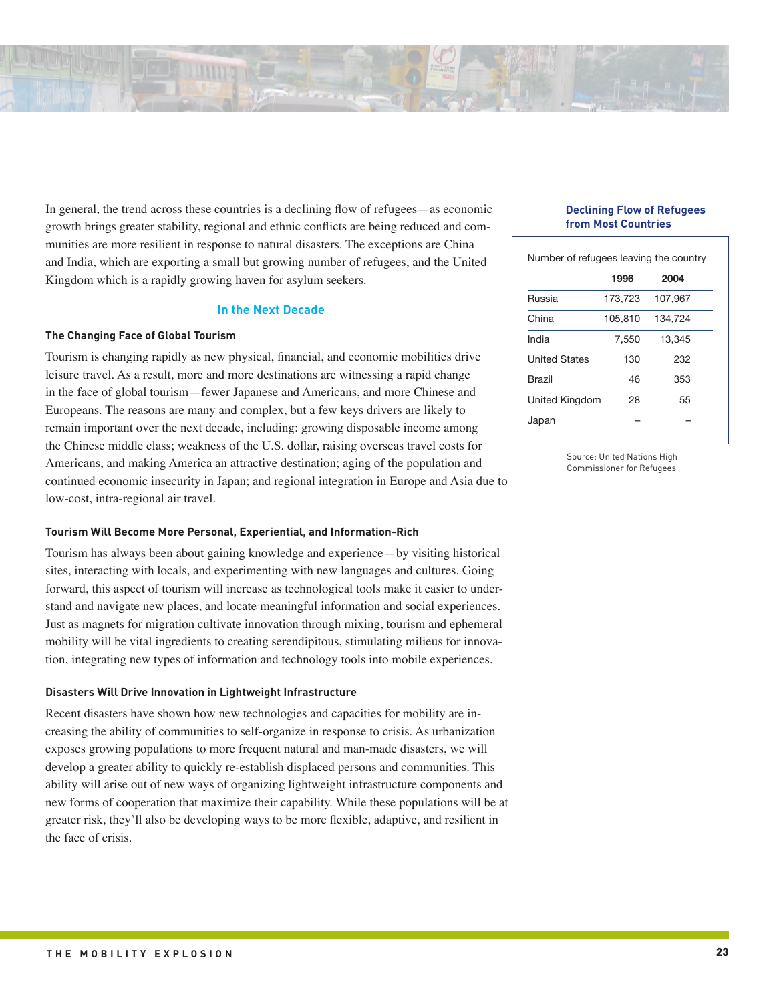![](_page_22_Picture_0.jpeg)

In general, the trend across these countries is a declining flow of refugees—as economic growth brings greater stability, regional and ethnic conflicts are being reduced and communities are more resilient in response to natural disasters. The exceptions are China and India, which are exporting a small but growing number of refugees, and the United Kingdom which is a rapidly growing haven for asylum seekers.

## **In the Next Decade**

# **The Changing Face of Global Tourism**

Tourism is changing rapidly as new physical, financial, and economic mobilities drive leisure travel. As a result, more and more destinations are witnessing a rapid change in the face of global tourism—fewer Japanese and Americans, and more Chinese and Europeans. The reasons are many and complex, but a few keys drivers are likely to remain important over the next decade, including: growing disposable income among the Chinese middle class; weakness of the U.S. dollar, raising overseas travel costs for Americans, and making America an attractive destination; aging of the population and continued economic insecurity in Japan; and regional integration in Europe and Asia due to low-cost, intra-regional air travel.

#### **Tourism Will Become More Personal, Experiential, and Information-Rich**

Tourism has always been about gaining knowledge and experience—by visiting historical sites, interacting with locals, and experimenting with new languages and cultures. Going forward, this aspect of tourism will increase as technological tools make it easier to understand and navigate new places, and locate meaningful information and social experiences. Just as magnets for migration cultivate innovation through mixing, tourism and ephemeral mobility will be vital ingredients to creating serendipitous, stimulating milieus for innovation, integrating new types of information and technology tools into mobile experiences.

#### **Disasters Will Drive Innovation in Lightweight Infrastructure**

Recent disasters have shown how new technologies and capacities for mobility are increasing the ability of communities to self-organize in response to crisis. As urbanization exposes growing populations to more frequent natural and man-made disasters, we will develop a greater ability to quickly re-establish displaced persons and communities. This ability will arise out of new ways of organizing lightweight infrastructure components and new forms of cooperation that maximize their capability. While these populations will be at greater risk, they'll also be developing ways to be more flexible, adaptive, and resilient in the face of crisis.

### **Declining Flow of Refugees from Most Countries**

| Number of refugees leaving the country |         |         |  |
|----------------------------------------|---------|---------|--|
|                                        | 1996    | 2004    |  |
| Russia                                 | 173,723 | 107,967 |  |
| China                                  | 105,810 | 134.724 |  |
| India                                  | 7.550   | 13,345  |  |
| <b>United States</b>                   | 130     | 232     |  |
| <b>Brazil</b>                          | 46      | 353     |  |
| United Kingdom                         | 28      | 55      |  |
| Japan                                  |         |         |  |

Source: United Nations High Commissioner for Refugees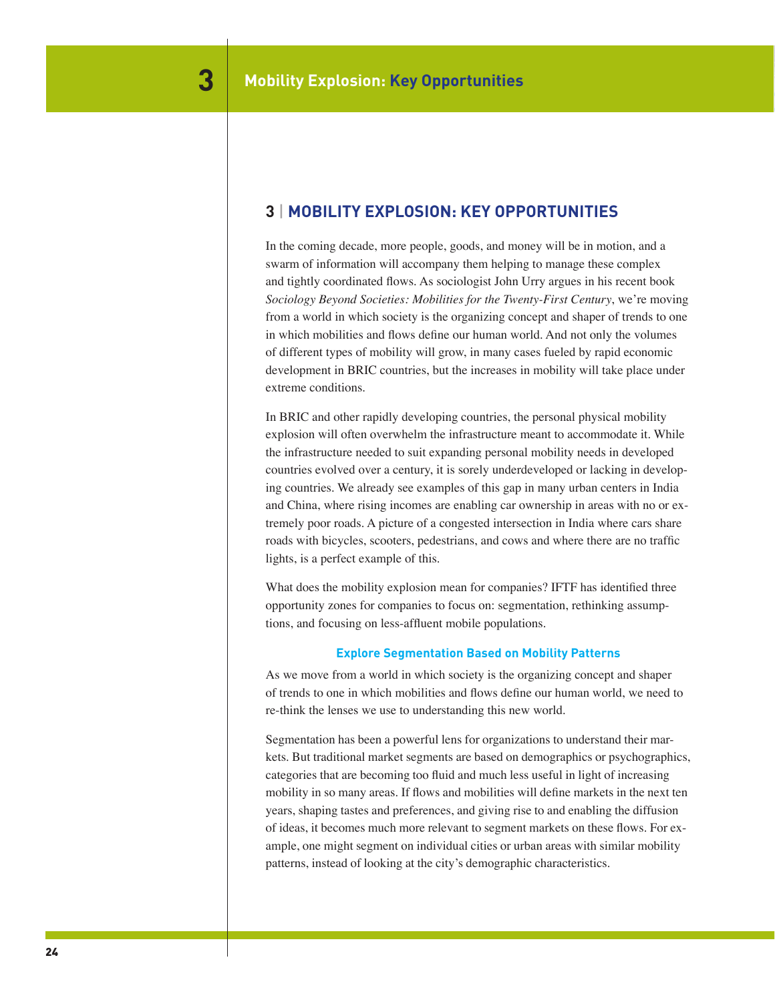# **3** | **Mobility Explosion: Key Opportunities**

In the coming decade, more people, goods, and money will be in motion, and a swarm of information will accompany them helping to manage these complex and tightly coordinated flows. As sociologist John Urry argues in his recent book *Sociology Beyond Societies: Mobilities for the Twenty-First Century*, we're moving from a world in which society is the organizing concept and shaper of trends to one in which mobilities and flows define our human world. And not only the volumes of different types of mobility will grow, in many cases fueled by rapid economic development in BRIC countries, but the increases in mobility will take place under extreme conditions.

In BRIC and other rapidly developing countries, the personal physical mobility explosion will often overwhelm the infrastructure meant to accommodate it. While the infrastructure needed to suit expanding personal mobility needs in developed countries evolved over a century, it is sorely underdeveloped or lacking in developing countries. We already see examples of this gap in many urban centers in India and China, where rising incomes are enabling car ownership in areas with no or extremely poor roads. A picture of a congested intersection in India where cars share roads with bicycles, scooters, pedestrians, and cows and where there are no traffic lights, is a perfect example of this.

What does the mobility explosion mean for companies? IFTF has identified three opportunity zones for companies to focus on: segmentation, rethinking assumptions, and focusing on less-affluent mobile populations.

# **Explore Segmentation Based on Mobility Patterns**

As we move from a world in which society is the organizing concept and shaper of trends to one in which mobilities and flows define our human world, we need to re-think the lenses we use to understanding this new world.

Segmentation has been a powerful lens for organizations to understand their markets. But traditional market segments are based on demographics or psychographics, categories that are becoming too fluid and much less useful in light of increasing mobility in so many areas. If flows and mobilities will define markets in the next ten years, shaping tastes and preferences, and giving rise to and enabling the diffusion of ideas, it becomes much more relevant to segment markets on these flows. For example, one might segment on individual cities or urban areas with similar mobility patterns, instead of looking at the city's demographic characteristics.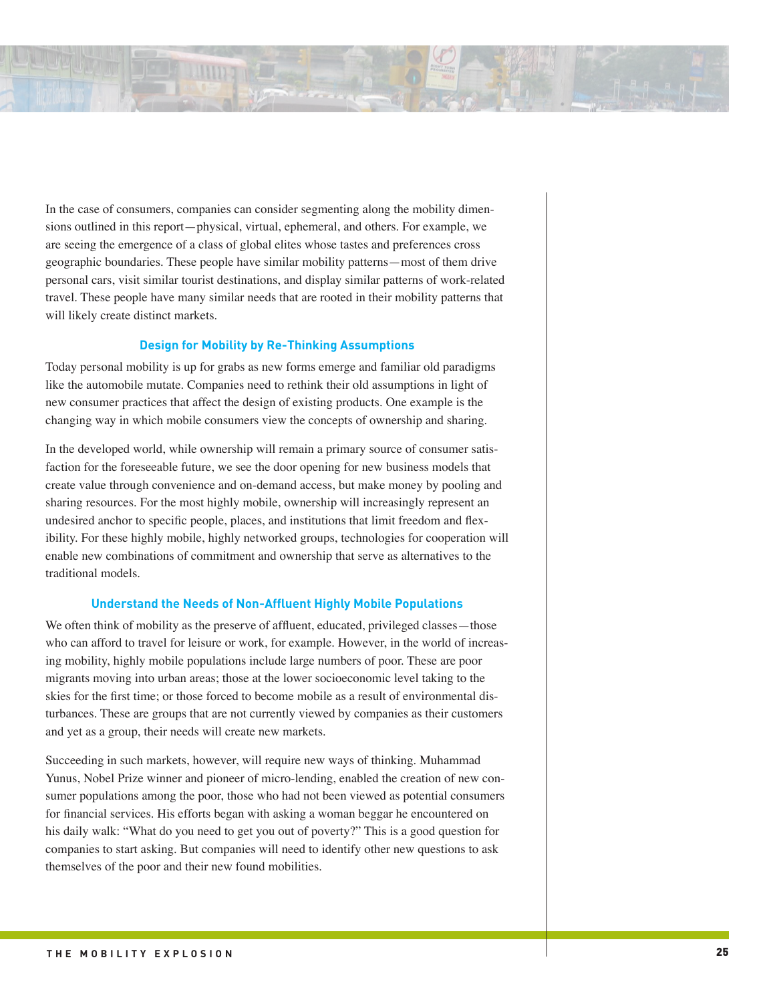![](_page_24_Picture_0.jpeg)

In the case of consumers, companies can consider segmenting along the mobility dimensions outlined in this report—physical, virtual, ephemeral, and others. For example, we are seeing the emergence of a class of global elites whose tastes and preferences cross geographic boundaries. These people have similar mobility patterns—most of them drive personal cars, visit similar tourist destinations, and display similar patterns of work-related travel. These people have many similar needs that are rooted in their mobility patterns that will likely create distinct markets.

# **Design for Mobility by Re-Thinking Assumptions**

Today personal mobility is up for grabs as new forms emerge and familiar old paradigms like the automobile mutate. Companies need to rethink their old assumptions in light of new consumer practices that affect the design of existing products. One example is the changing way in which mobile consumers view the concepts of ownership and sharing.

In the developed world, while ownership will remain a primary source of consumer satisfaction for the foreseeable future, we see the door opening for new business models that create value through convenience and on-demand access, but make money by pooling and sharing resources. For the most highly mobile, ownership will increasingly represent an undesired anchor to specific people, places, and institutions that limit freedom and flexibility. For these highly mobile, highly networked groups, technologies for cooperation will enable new combinations of commitment and ownership that serve as alternatives to the traditional models.

## **Understand the Needs of Non-Affluent Highly Mobile Populations**

We often think of mobility as the preserve of affluent, educated, privileged classes—those who can afford to travel for leisure or work, for example. However, in the world of increasing mobility, highly mobile populations include large numbers of poor. These are poor migrants moving into urban areas; those at the lower socioeconomic level taking to the skies for the first time; or those forced to become mobile as a result of environmental disturbances. These are groups that are not currently viewed by companies as their customers and yet as a group, their needs will create new markets.

Succeeding in such markets, however, will require new ways of thinking. Muhammad Yunus, Nobel Prize winner and pioneer of micro-lending, enabled the creation of new consumer populations among the poor, those who had not been viewed as potential consumers for financial services. His efforts began with asking a woman beggar he encountered on his daily walk: "What do you need to get you out of poverty?" This is a good question for companies to start asking. But companies will need to identify other new questions to ask themselves of the poor and their new found mobilities.